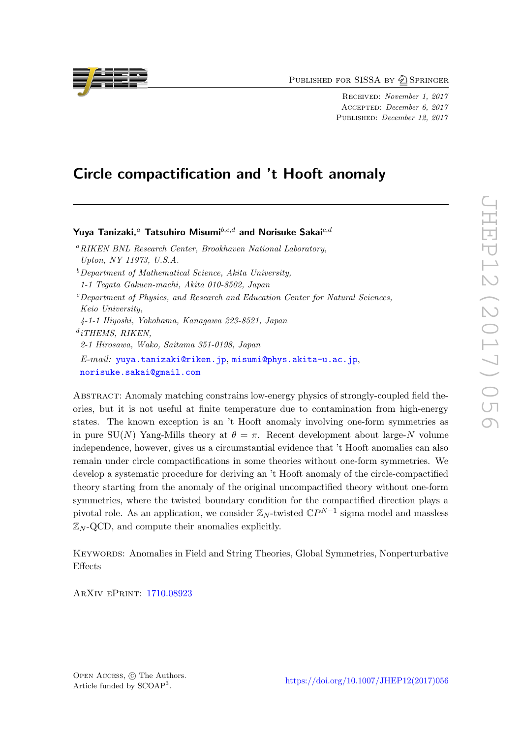PUBLISHED FOR SISSA BY 2 SPRINGER

Received: November 1, 2017 Accepted: December 6, 2017 PUBLISHED: December 12, 2017

# Circle compactification and 't Hooft anomaly

Yuya Tanizaki,<sup>a</sup> Tatsuhiro Misumi $b,c,d$  and Norisuke Sakai<sup>c,d</sup>

<sup>a</sup>RIKEN BNL Research Center, Brookhaven National Laboratory, Upton, NY 11973, U.S.A.

 $b$ Department of Mathematical Science, Akita University,

<sup>c</sup>Department of Physics, and Research and Education Center for Natural Sciences, Keio University,

4-1-1 Hiyoshi, Yokohama, Kanagawa 223-8521, Japan

d iTHEMS, RIKEN,

2-1 Hirosawa, Wako, Saitama 351-0198, Japan

E-mail: [yuya.tanizaki@riken.jp](mailto:yuya.tanizaki@riken.jp), [misumi@phys.akita-u.ac.jp](mailto:misumi@phys.akita-u.ac.jp), [norisuke.sakai@gmail.com](mailto:norisuke.sakai@gmail.com)

Abstract: Anomaly matching constrains low-energy physics of strongly-coupled field theories, but it is not useful at finite temperature due to contamination from high-energy states. The known exception is an 't Hooft anomaly involving one-form symmetries as in pure  $SU(N)$  Yang-Mills theory at  $\theta = \pi$ . Recent development about large-N volume independence, however, gives us a circumstantial evidence that 't Hooft anomalies can also remain under circle compactifications in some theories without one-form symmetries. We develop a systematic procedure for deriving an 't Hooft anomaly of the circle-compactified theory starting from the anomaly of the original uncompactified theory without one-form symmetries, where the twisted boundary condition for the compactified direction plays a pivotal role. As an application, we consider  $\mathbb{Z}_N$ -twisted  $\mathbb{C}P^{N-1}$  sigma model and massless  $\mathbb{Z}_N$ -QCD, and compute their anomalies explicitly.

Keywords: Anomalies in Field and String Theories, Global Symmetries, Nonperturbative Effects

ArXiv ePrint: [1710.08923](https://arxiv.org/abs/1710.08923)



<sup>1-1</sup> Tegata Gakuen-machi, Akita 010-8502, Japan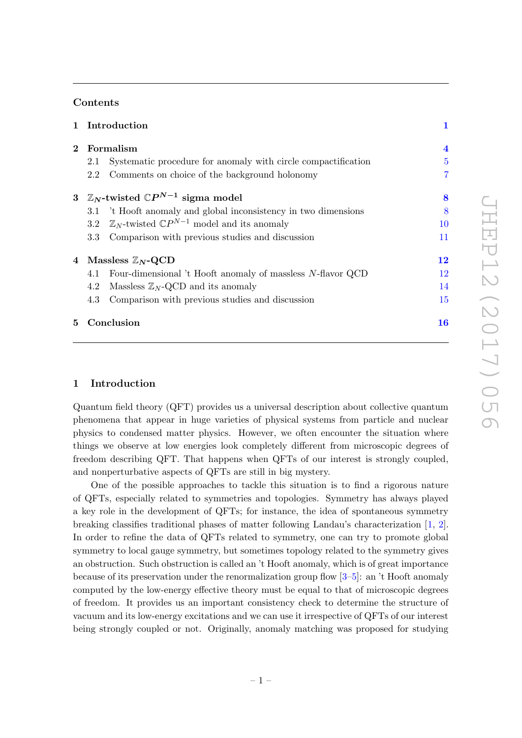# Contents

|            | 1 Introduction                                                               | $\mathbf{1}$            |
|------------|------------------------------------------------------------------------------|-------------------------|
| $\bf{2}^-$ | Formalism                                                                    | $\overline{\mathbf{4}}$ |
|            | Systematic procedure for anomaly with circle compactification<br>2.1         | 5                       |
|            | 2.2<br>Comments on choice of the background holonomy                         | 7                       |
|            | 3 $\mathbb{Z}_N$ -twisted $\mathbb{C}P^{N-1}$ sigma model                    | 8                       |
|            | 't Hooft anomaly and global inconsistency in two dimensions<br>3.1           | 8                       |
|            | $\mathbb{Z}_N$ -twisted $\mathbb{C}P^{N-1}$ model and its anomaly<br>$3.2\,$ | 10                      |
|            | Comparison with previous studies and discussion<br>3.3                       | 11                      |
|            | 4 Massless $\mathbb{Z}_N$ -QCD                                               | 12                      |
|            | Four-dimensional 't Hooft anomaly of massless N-flavor QCD<br>4.1            | $12\,$                  |
|            | Massless $\mathbb{Z}_N$ -QCD and its anomaly<br>4.2                          | 14                      |
|            | Comparison with previous studies and discussion<br>4.3                       | 15                      |
| 5.         | Conclusion                                                                   | 16                      |
|            |                                                                              |                         |

# <span id="page-1-0"></span>1 Introduction

Quantum field theory (QFT) provides us a universal description about collective quantum phenomena that appear in huge varieties of physical systems from particle and nuclear physics to condensed matter physics. However, we often encounter the situation where things we observe at low energies look completely different from microscopic degrees of freedom describing QFT. That happens when QFTs of our interest is strongly coupled, and nonperturbative aspects of QFTs are still in big mystery.

One of the possible approaches to tackle this situation is to find a rigorous nature of QFTs, especially related to symmetries and topologies. Symmetry has always played a key role in the development of QFTs; for instance, the idea of spontaneous symmetry breaking classifies traditional phases of matter following Landau's characterization [\[1,](#page-17-0) [2\]](#page-17-1). In order to refine the data of QFTs related to symmetry, one can try to promote global symmetry to local gauge symmetry, but sometimes topology related to the symmetry gives an obstruction. Such obstruction is called an 't Hooft anomaly, which is of great importance because of its preservation under the renormalization group flow [\[3](#page-17-2)[–5\]](#page-17-3): an 't Hooft anomaly computed by the low-energy effective theory must be equal to that of microscopic degrees of freedom. It provides us an important consistency check to determine the structure of vacuum and its low-energy excitations and we can use it irrespective of QFTs of our interest being strongly coupled or not. Originally, anomaly matching was proposed for studying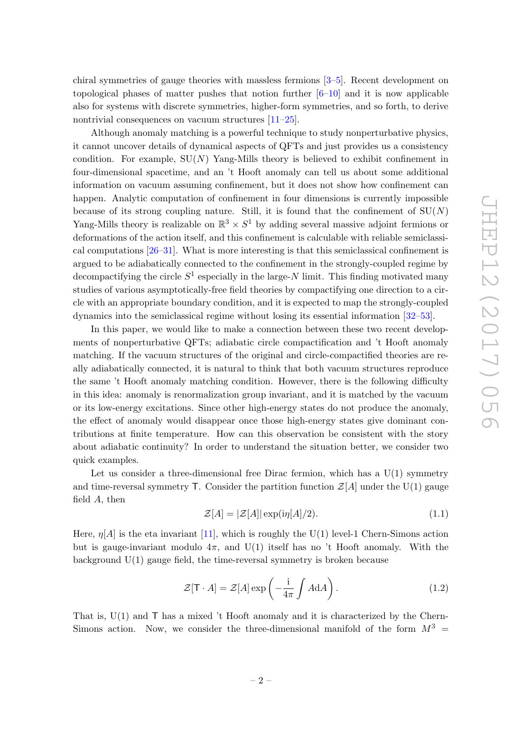chiral symmetries of gauge theories with massless fermions [\[3–](#page-17-2)[5\]](#page-17-3). Recent development on topological phases of matter pushes that notion further  $[6–10]$  $[6–10]$  and it is now applicable also for systems with discrete symmetries, higher-form symmetries, and so forth, to derive nontrivial consequences on vacuum structures [\[11](#page-17-6)[–25\]](#page-18-0).

Although anomaly matching is a powerful technique to study nonperturbative physics, it cannot uncover details of dynamical aspects of QFTs and just provides us a consistency condition. For example,  $SU(N)$  Yang-Mills theory is believed to exhibit confinement in four-dimensional spacetime, and an 't Hooft anomaly can tell us about some additional information on vacuum assuming confinement, but it does not show how confinement can happen. Analytic computation of confinement in four dimensions is currently impossible because of its strong coupling nature. Still, it is found that the confinement of  $SU(N)$ Yang-Mills theory is realizable on  $\mathbb{R}^3 \times S^1$  by adding several massive adjoint fermions or deformations of the action itself, and this confinement is calculable with reliable semiclassical computations [\[26](#page-18-1)[–31\]](#page-18-2). What is more interesting is that this semiclassical confinement is argued to be adiabatically connected to the confinement in the strongly-coupled regime by decompactifying the circle  $S^1$  especially in the large-N limit. This finding motivated many studies of various asymptotically-free field theories by compactifying one direction to a circle with an appropriate boundary condition, and it is expected to map the strongly-coupled dynamics into the semiclassical regime without losing its essential information [\[32–](#page-19-0)[53\]](#page-20-0).

In this paper, we would like to make a connection between these two recent developments of nonperturbative QFTs; adiabatic circle compactification and 't Hooft anomaly matching. If the vacuum structures of the original and circle-compactified theories are really adiabatically connected, it is natural to think that both vacuum structures reproduce the same 't Hooft anomaly matching condition. However, there is the following difficulty in this idea: anomaly is renormalization group invariant, and it is matched by the vacuum or its low-energy excitations. Since other high-energy states do not produce the anomaly, the effect of anomaly would disappear once those high-energy states give dominant contributions at finite temperature. How can this observation be consistent with the story about adiabatic continuity? In order to understand the situation better, we consider two quick examples.

Let us consider a three-dimensional free Dirac fermion, which has a  $U(1)$  symmetry and time-reversal symmetry T. Consider the partition function  $\mathcal{Z}[A]$  under the U(1) gauge field A, then

$$
\mathcal{Z}[A] = |\mathcal{Z}[A]| \exp(i\eta[A]/2). \tag{1.1}
$$

Here,  $\eta[A]$  is the eta invariant [\[11\]](#page-17-6), which is roughly the U(1) level-1 Chern-Simons action but is gauge-invariant modulo  $4\pi$ , and U(1) itself has no 't Hooft anomaly. With the background  $U(1)$  gauge field, the time-reversal symmetry is broken because

$$
\mathcal{Z}[\mathsf{T} \cdot A] = \mathcal{Z}[A] \exp\left(-\frac{\mathrm{i}}{4\pi} \int A \mathrm{d}A\right). \tag{1.2}
$$

That is,  $U(1)$  and  $T$  has a mixed 't Hooft anomaly and it is characterized by the Chern-Simons action. Now, we consider the three-dimensional manifold of the form  $M^3 =$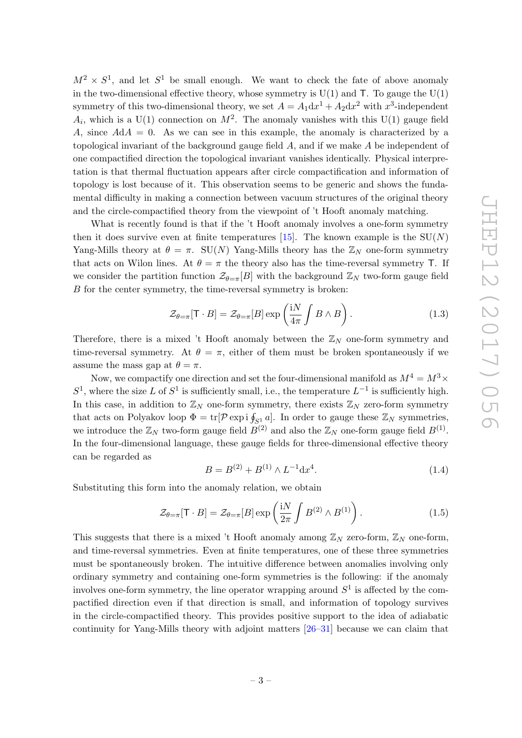$M^2 \times S^1$ , and let  $S^1$  be small enough. We want to check the fate of above anomaly in the two-dimensional effective theory, whose symmetry is  $U(1)$  and T. To gauge the  $U(1)$ symmetry of this two-dimensional theory, we set  $A = A_1 dx^1 + A_2 dx^2$  with  $x^3$ -independent  $A_i$ , which is a U(1) connection on  $M^2$ . The anomaly vanishes with this U(1) gauge field A, since  $AdA = 0$ . As we can see in this example, the anomaly is characterized by a topological invariant of the background gauge field A, and if we make A be independent of one compactified direction the topological invariant vanishes identically. Physical interpretation is that thermal fluctuation appears after circle compactification and information of topology is lost because of it. This observation seems to be generic and shows the fundamental difficulty in making a connection between vacuum structures of the original theory and the circle-compactified theory from the viewpoint of 't Hooft anomaly matching.

What is recently found is that if the 't Hooft anomaly involves a one-form symmetry then it does survive even at finite temperatures [\[15\]](#page-18-3). The known example is the  $SU(N)$ Yang-Mills theory at  $\theta = \pi$ . SU(N) Yang-Mills theory has the  $\mathbb{Z}_N$  one-form symmetry that acts on Wilon lines. At  $\theta = \pi$  the theory also has the time-reversal symmetry T. If we consider the partition function  $\mathcal{Z}_{\theta=\pi}[B]$  with the background  $\mathbb{Z}_N$  two-form gauge field B for the center symmetry, the time-reversal symmetry is broken:

$$
\mathcal{Z}_{\theta=\pi}[\mathsf{T}\cdot B]=\mathcal{Z}_{\theta=\pi}[B]\exp\left(\frac{\mathrm{i}N}{4\pi}\int B\wedge B\right). \tag{1.3}
$$

Therefore, there is a mixed 't Hooft anomaly between the  $\mathbb{Z}_N$  one-form symmetry and time-reversal symmetry. At  $\theta = \pi$ , either of them must be broken spontaneously if we assume the mass gap at  $\theta = \pi$ .

Now, we compactify one direction and set the four-dimensional manifold as  $M^4 = M^3 \times$  $S^1$ , where the size L of  $S^1$  is sufficiently small, i.e., the temperature  $L^{-1}$  is sufficiently high. In this case, in addition to  $\mathbb{Z}_N$  one-form symmetry, there exists  $\mathbb{Z}_N$  zero-form symmetry that acts on Polyakov loop  $\Phi = \text{tr}[\mathcal{P} \exp \text{i} \oint_{S^1} a]$ . In order to gauge these  $\mathbb{Z}_N$  symmetries, we introduce the  $\mathbb{Z}_N$  two-form gauge field  $B^{(2)}$  and also the  $\mathbb{Z}_N$  one-form gauge field  $B^{(1)}$ . In the four-dimensional language, these gauge fields for three-dimensional effective theory can be regarded as

$$
B = B^{(2)} + B^{(1)} \wedge L^{-1} dx^4.
$$
 (1.4)

Substituting this form into the anomaly relation, we obtain

$$
\mathcal{Z}_{\theta=\pi}[\mathsf{T}\cdot B] = \mathcal{Z}_{\theta=\pi}[B] \exp\left(\frac{\mathrm{i}N}{2\pi} \int B^{(2)} \wedge B^{(1)}\right). \tag{1.5}
$$

This suggests that there is a mixed 't Hooft anomaly among  $\mathbb{Z}_N$  zero-form,  $\mathbb{Z}_N$  one-form, and time-reversal symmetries. Even at finite temperatures, one of these three symmetries must be spontaneously broken. The intuitive difference between anomalies involving only ordinary symmetry and containing one-form symmetries is the following: if the anomaly involves one-form symmetry, the line operator wrapping around  $S<sup>1</sup>$  is affected by the compactified direction even if that direction is small, and information of topology survives in the circle-compactified theory. This provides positive support to the idea of adiabatic continuity for Yang-Mills theory with adjoint matters [\[26–](#page-18-1)[31\]](#page-18-2) because we can claim that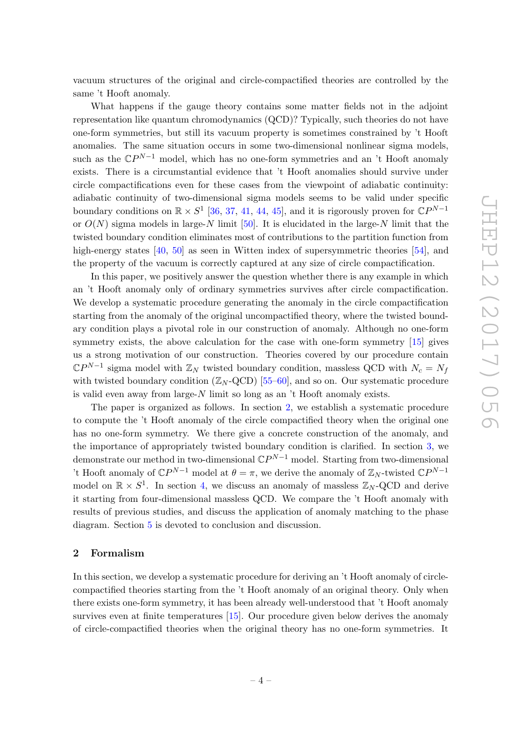vacuum structures of the original and circle-compactified theories are controlled by the same 't Hooft anomaly.

What happens if the gauge theory contains some matter fields not in the adjoint representation like quantum chromodynamics (QCD)? Typically, such theories do not have one-form symmetries, but still its vacuum property is sometimes constrained by 't Hooft anomalies. The same situation occurs in some two-dimensional nonlinear sigma models, such as the  $\mathbb{C}P^{N-1}$  model, which has no one-form symmetries and an 't Hooft anomaly exists. There is a circumstantial evidence that 't Hooft anomalies should survive under circle compactifications even for these cases from the viewpoint of adiabatic continuity: adiabatic continuity of two-dimensional sigma models seems to be valid under specific boundary conditions on  $\mathbb{R} \times S^1$  [\[36,](#page-19-1) [37,](#page-19-2) [41,](#page-19-3) [44,](#page-19-4) [45\]](#page-19-5), and it is rigorously proven for  $\mathbb{C}P^{N-1}$ or  $O(N)$  sigma models in large-N limit [\[50\]](#page-20-1). It is elucidated in the large-N limit that the twisted boundary condition eliminates most of contributions to the partition function from high-energy states [\[40,](#page-19-6) [50\]](#page-20-1) as seen in Witten index of supersymmetric theories [\[54\]](#page-20-2), and the property of the vacuum is correctly captured at any size of circle compactification.

In this paper, we positively answer the question whether there is any example in which an 't Hooft anomaly only of ordinary symmetries survives after circle compactification. We develop a systematic procedure generating the anomaly in the circle compactification starting from the anomaly of the original uncompactified theory, where the twisted boundary condition plays a pivotal role in our construction of anomaly. Although no one-form symmetry exists, the above calculation for the case with one-form symmetry [\[15\]](#page-18-3) gives us a strong motivation of our construction. Theories covered by our procedure contain  $\mathbb{C}P^{N-1}$  sigma model with  $\mathbb{Z}_N$  twisted boundary condition, massless QCD with  $N_c = N_f$ with twisted boundary condition  $(\mathbb{Z}_N$ -QCD) [\[55](#page-20-3)[–60\]](#page-20-4), and so on. Our systematic procedure is valid even away from large- $N$  limit so long as an 't Hooft anomaly exists.

The paper is organized as follows. In section [2,](#page-4-0) we establish a systematic procedure to compute the 't Hooft anomaly of the circle compactified theory when the original one has no one-form symmetry. We there give a concrete construction of the anomaly, and the importance of appropriately twisted boundary condition is clarified. In section [3,](#page-8-0) we demonstrate our method in two-dimensional  $\mathbb{C}P^{N-1}$  model. Starting from two-dimensional 't Hooft anomaly of  $\mathbb{C}P^{N-1}$  model at  $\theta = \pi$ , we derive the anomaly of  $\mathbb{Z}_N$ -twisted  $\mathbb{C}P^{N-1}$ model on  $\mathbb{R} \times S^1$ . In section [4,](#page-12-0) we discuss an anomaly of massless  $\mathbb{Z}_N$ -QCD and derive it starting from four-dimensional massless QCD. We compare the 't Hooft anomaly with results of previous studies, and discuss the application of anomaly matching to the phase diagram. Section [5](#page-16-0) is devoted to conclusion and discussion.

## <span id="page-4-0"></span>2 Formalism

In this section, we develop a systematic procedure for deriving an 't Hooft anomaly of circlecompactified theories starting from the 't Hooft anomaly of an original theory. Only when there exists one-form symmetry, it has been already well-understood that 't Hooft anomaly survives even at finite temperatures [\[15\]](#page-18-3). Our procedure given below derives the anomaly of circle-compactified theories when the original theory has no one-form symmetries. It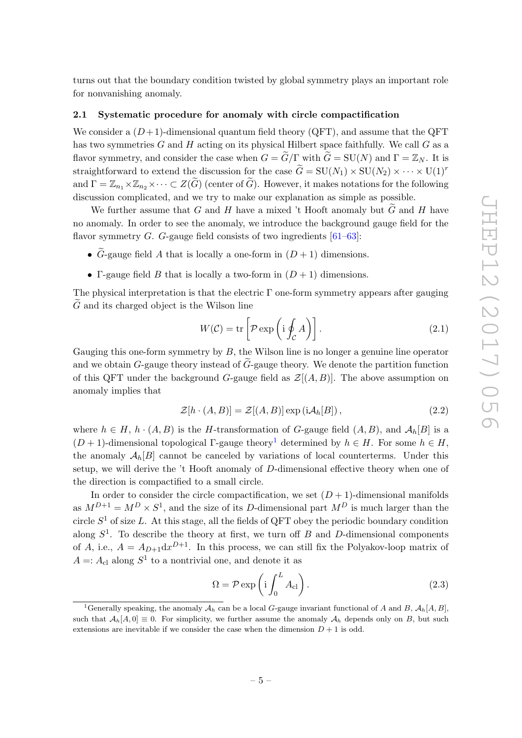turns out that the boundary condition twisted by global symmetry plays an important role for nonvanishing anomaly.

### <span id="page-5-0"></span>2.1 Systematic procedure for anomaly with circle compactification

We consider a  $(D+1)$ -dimensional quantum field theory (QFT), and assume that the QFT has two symmetries G and H acting on its physical Hilbert space faithfully. We call G as a flavor symmetry, and consider the case when  $G = \widetilde{G}/\Gamma$  with  $\widetilde{G} = SU(N)$  and  $\Gamma = \mathbb{Z}_N$ . It is straightforward to extend the discussion for the case  $\widetilde{G} = SU(N_1) \times SU(N_2) \times \cdots \times U(1)^r$ and  $\Gamma = \mathbb{Z}_{n_1} \times \mathbb{Z}_{n_2} \times \cdots \subset Z(\widetilde{G})$  (center of  $\widetilde{G}$ ). However, it makes notations for the following discussion complicated, and we try to make our explanation as simple as possible.

We further assume that G and H have a mixed 't Hooft anomaly but  $\tilde{G}$  and H have no anomaly. In order to see the anomaly, we introduce the background gauge field for the flavor symmetry G. G-gauge field consists of two ingredients  $[61-63]$ :

- $\tilde{G}$ -gauge field A that is locally a one-form in  $(D+1)$  dimensions.
- Γ-gauge field B that is locally a two-form in  $(D+1)$  dimensions.

The physical interpretation is that the electric  $\Gamma$  one-form symmetry appears after gauging  $\tilde{G}$  and its charged object is the Wilson line

$$
W(C) = \text{tr}\left[\mathcal{P}\exp\left(\text{i}\oint_C A\right)\right].\tag{2.1}
$$

Gauging this one-form symmetry by  $B$ , the Wilson line is no longer a genuine line operator and we obtain  $G$ -gauge theory instead of  $\tilde{G}$ -gauge theory. We denote the partition function of this QFT under the background G-gauge field as  $\mathcal{Z}[(A, B)]$ . The above assumption on anomaly implies that

<span id="page-5-2"></span>
$$
\mathcal{Z}[h \cdot (A, B)] = \mathcal{Z}[(A, B)] \exp(i\mathcal{A}_h[B]), \qquad (2.2)
$$

where  $h \in H$ ,  $h \cdot (A, B)$  is the H-transformation of G-gauge field  $(A, B)$ , and  $\mathcal{A}_h[B]$  is a  $(D+1)$  $(D+1)$  $(D+1)$ -dimensional topological Γ-gauge theory<sup>1</sup> determined by  $h \in H$ . For some  $h \in H$ , the anomaly  $\mathcal{A}_h[B]$  cannot be canceled by variations of local counterterms. Under this setup, we will derive the 't Hooft anomaly of D-dimensional effective theory when one of the direction is compactified to a small circle.

In order to consider the circle compactification, we set  $(D+1)$ -dimensional manifolds as  $M^{D+1} = M^D \times S^1$ , and the size of its D-dimensional part  $M^D$  is much larger than the circle  $S^1$  of size L. At this stage, all the fields of QFT obey the periodic boundary condition along  $S^1$ . To describe the theory at first, we turn off B and D-dimensional components of A, i.e.,  $A = A_{D+1} dx^{D+1}$ . In this process, we can still fix the Polyakov-loop matrix of  $A =: A_{\text{cl}}$  along  $S^1$  to a nontrivial one, and denote it as

$$
\Omega = \mathcal{P} \exp\left(i \int_0^L A_{\rm cl}\right). \tag{2.3}
$$

<span id="page-5-1"></span><sup>&</sup>lt;sup>1</sup>Generally speaking, the anomaly  $\mathcal{A}_h$  can be a local G-gauge invariant functional of A and B,  $\mathcal{A}_h[A, B]$ , such that  $\mathcal{A}_h[A, 0] \equiv 0$ . For simplicity, we further assume the anomaly  $\mathcal{A}_h$  depends only on B, but such extensions are inevitable if we consider the case when the dimension  $D + 1$  is odd.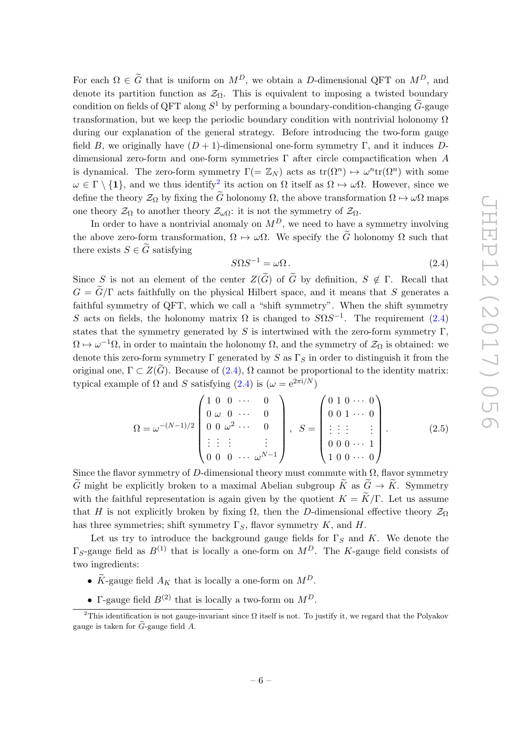For each  $\Omega \in \tilde{G}$  that is uniform on  $M^D$ , we obtain a D-dimensional QFT on  $M^D$ , and denote its partition function as  $\mathcal{Z}_{\Omega}$ . This is equivalent to imposing a twisted boundary condition on fields of QFT along  $S^1$  by performing a boundary-condition-changing  $\widetilde{G}$ -gauge transformation, but we keep the periodic boundary condition with nontrivial holonomy  $\Omega$ during our explanation of the general strategy. Before introducing the two-form gauge field B, we originally have  $(D + 1)$ -dimensional one-form symmetry Γ, and it induces Ddimensional zero-form and one-form symmetries  $\Gamma$  after circle compactification when A is dynamical. The zero-form symmetry  $\Gamma(=\mathbb{Z}_N)$  acts as  $\text{tr}(\Omega^n) \mapsto \omega^n \text{tr}(\Omega^n)$  with some  $\omega \in \Gamma \setminus \{1\}$ , and we thus identify<sup>[2](#page-6-0)</sup> its action on  $\Omega$  itself as  $\Omega \mapsto \omega \Omega$ . However, since we define the theory  $\mathcal{Z}_{\Omega}$  by fixing the  $\widetilde{G}$  holonomy  $\Omega$ , the above transformation  $\Omega \mapsto \omega \Omega$  maps one theory  $\mathcal{Z}_{\Omega}$  to another theory  $\mathcal{Z}_{\omega\Omega}$ : it is not the symmetry of  $\mathcal{Z}_{\Omega}$ .

In order to have a nontrivial anomaly on  $M<sup>D</sup>$ , we need to have a symmetry involving the above zero-form transformation,  $\Omega \mapsto \omega \Omega$ . We specify the  $\tilde{G}$  holonomy  $\Omega$  such that there exists  $S \in \widetilde{G}$  satisfying

<span id="page-6-1"></span>
$$
S\Omega S^{-1} = \omega \Omega. \tag{2.4}
$$

Since S is not an element of the center  $Z(\widetilde{G})$  of  $\widetilde{G}$  by definition,  $S \notin \Gamma$ . Recall that  $G = \tilde{G}/\Gamma$  acts faithfully on the physical Hilbert space, and it means that S generates a faithful symmetry of QFT, which we call a "shift symmetry". When the shift symmetry S acts on fields, the holonomy matrix  $\Omega$  is changed to  $S\Omega S^{-1}$ . The requirement [\(2.4\)](#page-6-1) states that the symmetry generated by S is intertwined with the zero-form symmetry  $\Gamma$ ,  $\Omega \mapsto \omega^{-1}\Omega$ , in order to maintain the holonomy  $\Omega$ , and the symmetry of  $\mathcal{Z}_{\Omega}$  is obtained: we denote this zero-form symmetry  $\Gamma$  generated by S as  $\Gamma_S$  in order to distinguish it from the original one,  $\Gamma \subset Z(\widetilde{G})$ . Because of [\(2.4\)](#page-6-1),  $\Omega$  cannot be proportional to the identity matrix: typical example of  $\Omega$  and S satisfying [\(2.4\)](#page-6-1) is  $(\omega = e^{2\pi i/N})$ 

<span id="page-6-2"></span>
$$
\Omega = \omega^{-(N-1)/2} \begin{pmatrix} 1 & 0 & 0 & \cdots & 0 \\ 0 & \omega & 0 & \cdots & 0 \\ 0 & 0 & \omega^2 & \cdots & 0 \\ \vdots & \vdots & \vdots & & \vdots \\ 0 & 0 & 0 & \cdots & \omega^{N-1} \end{pmatrix}, \quad S = \begin{pmatrix} 0 & 1 & 0 & \cdots & 0 \\ 0 & 0 & 1 & \cdots & 0 \\ \vdots & \vdots & \vdots & & \vdots \\ 0 & 0 & 0 & \cdots & 1 \\ 1 & 0 & 0 & \cdots & 0 \end{pmatrix}.
$$
 (2.5)

Since the flavor symmetry of D-dimensional theory must commute with  $\Omega$ , flavor symmetry  $\widetilde{G}$  might be explicitly broken to a maximal Abelian subgroup  $\widetilde{K}$  as  $\widetilde{G} \to \widetilde{K}$ . Symmetry with the faithful representation is again given by the quotient  $K = \widetilde{K}/\Gamma$ . Let us assume that H is not explicitly broken by fixing  $\Omega$ , then the D-dimensional effective theory  $\mathcal{Z}_{\Omega}$ has three symmetries; shift symmetry  $\Gamma_S$ , flavor symmetry K, and H.

Let us try to introduce the background gauge fields for  $\Gamma_S$  and K. We denote the  $\Gamma_S$ -gauge field as  $B^{(1)}$  that is locally a one-form on  $M^D$ . The K-gauge field consists of two ingredients:

- $\widetilde{K}$ -gauge field  $A_K$  that is locally a one-form on  $M^D$ .
- <span id="page-6-0"></span>• Γ-gauge field  $B^{(2)}$  that is locally a two-form on  $M^D$ .

<sup>&</sup>lt;sup>2</sup>This identification is not gauge-invariant since  $\Omega$  itself is not. To justify it, we regard that the Polyakov gauge is taken for  $\tilde{G}$ -gauge field A.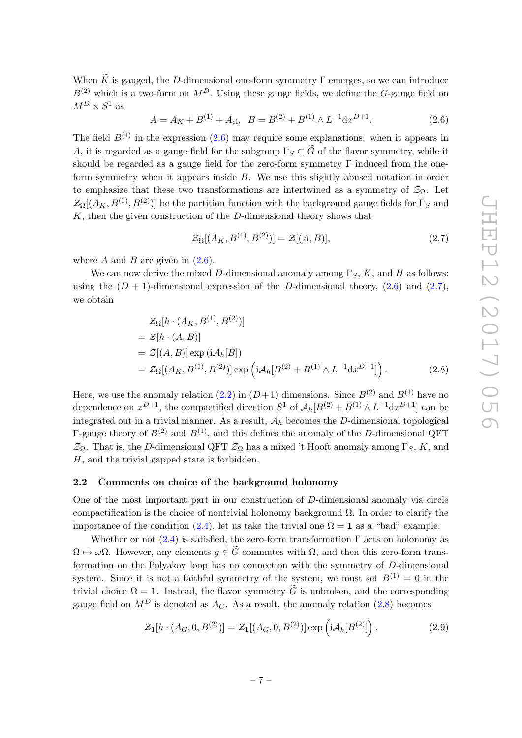When  $\widetilde{K}$  is gauged, the D-dimensional one-form symmetry  $\Gamma$  emerges, so we can introduce  $B^{(2)}$  which is a two-form on  $M^D$ . Using these gauge fields, we define the G-gauge field on  $M^D \times S^1$  as

<span id="page-7-1"></span>
$$
A = AK + B(1) + Acl, B = B(2) + B(1) \wedge L-1 dxD+1.
$$
 (2.6)

The field  $B^{(1)}$  in the expression  $(2.6)$  may require some explanations: when it appears in A, it is regarded as a gauge field for the subgroup  $\Gamma_S \subset \widetilde{G}$  of the flavor symmetry, while it should be regarded as a gauge field for the zero-form symmetry  $\Gamma$  induced from the oneform symmetry when it appears inside B. We use this slightly abused notation in order to emphasize that these two transformations are intertwined as a symmetry of  $\mathcal{Z}_{\Omega}$ . Let  $\mathcal{Z}_{\Omega}[(A_K, B^{(1)}, B^{(2)})]$  be the partition function with the background gauge fields for  $\Gamma_S$  and  $K$ , then the given construction of the  $D$ -dimensional theory shows that

<span id="page-7-2"></span>
$$
\mathcal{Z}_{\Omega}[(A_K, B^{(1)}, B^{(2)})] = \mathcal{Z}[(A, B)],\tag{2.7}
$$

where A and B are given in  $(2.6)$ .

We can now derive the mixed D-dimensional anomaly among  $\Gamma_S$ , K, and H as follows: using the  $(D + 1)$ -dimensional expression of the D-dimensional theory,  $(2.6)$  and  $(2.7)$ , we obtain

<span id="page-7-3"></span>
$$
\mathcal{Z}_{\Omega}[h \cdot (A_K, B^{(1)}, B^{(2)})]
$$
\n
$$
= \mathcal{Z}[h \cdot (A, B)]
$$
\n
$$
= \mathcal{Z}[(A, B)] \exp(i\mathcal{A}_h[B])
$$
\n
$$
= \mathcal{Z}_{\Omega}[(A_K, B^{(1)}, B^{(2)})] \exp(i\mathcal{A}_h[B^{(2)} + B^{(1)} \wedge L^{-1} dx^{D+1}]).
$$
\n(2.8)

Here, we use the anomaly relation [\(2.2\)](#page-5-2) in  $(D+1)$  dimensions. Since  $B^{(2)}$  and  $B^{(1)}$  have no dependence on  $x^{D+1}$ , the compactified direction  $S^1$  of  $\mathcal{A}_h[B^{(2)} + B^{(1)} \wedge L^{-1} dx^{D+1}]$  can be integrated out in a trivial manner. As a result,  $A_h$  becomes the D-dimensional topological Γ-gauge theory of  $B^{(2)}$  and  $B^{(1)}$ , and this defines the anomaly of the D-dimensional QFT  $\mathcal{Z}_{\Omega}$ . That is, the D-dimensional QFT  $\mathcal{Z}_{\Omega}$  has a mixed 't Hooft anomaly among  $\Gamma_S$ , K, and H, and the trivial gapped state is forbidden.

#### <span id="page-7-0"></span>2.2 Comments on choice of the background holonomy

One of the most important part in our construction of D-dimensional anomaly via circle compactification is the choice of nontrivial holonomy background Ω. In order to clarify the importance of the condition [\(2.4\)](#page-6-1), let us take the trivial one  $\Omega = 1$  as a "bad" example.

Whether or not  $(2.4)$  is satisfied, the zero-form transformation  $\Gamma$  acts on holonomy as  $\Omega \mapsto \omega\Omega$ . However, any elements  $q \in \tilde{G}$  commutes with  $\Omega$ , and then this zero-form transformation on the Polyakov loop has no connection with the symmetry of D-dimensional system. Since it is not a faithful symmetry of the system, we must set  $B^{(1)} = 0$  in the trivial choice  $\Omega = 1$ . Instead, the flavor symmetry  $\tilde{G}$  is unbroken, and the corresponding gauge field on  $M^D$  is denoted as  $A_G$ . As a result, the anomaly relation [\(2.8\)](#page-7-3) becomes

$$
\mathcal{Z}_{1}[h \cdot (A_{G}, 0, B^{(2)})] = \mathcal{Z}_{1}[(A_{G}, 0, B^{(2)})] \exp \left(i \mathcal{A}_{h}[B^{(2)}]\right).
$$
 (2.9)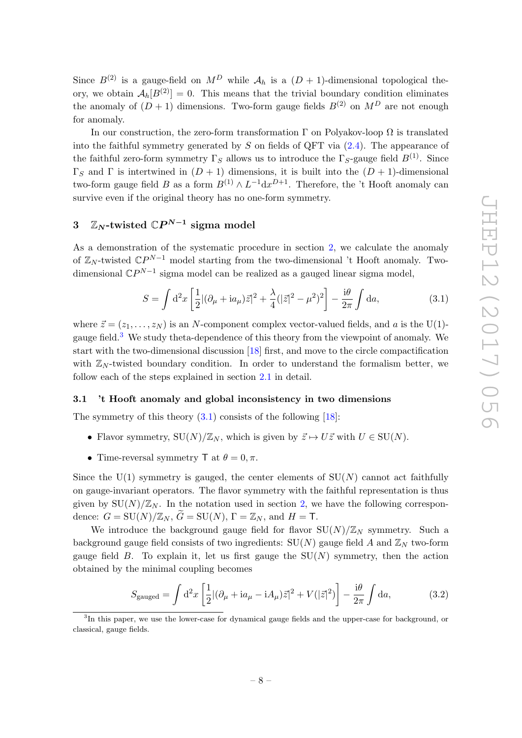Since  $B^{(2)}$  is a gauge-field on  $M^D$  while  $\mathcal{A}_h$  is a  $(D + 1)$ -dimensional topological theory, we obtain  $\mathcal{A}_h[B^{(2)}] = 0$ . This means that the trivial boundary condition eliminates the anomaly of  $(D + 1)$  dimensions. Two-form gauge fields  $B^{(2)}$  on  $M^D$  are not enough for anomaly.

In our construction, the zero-form transformation  $\Gamma$  on Polyakov-loop  $\Omega$  is translated into the faithful symmetry generated by  $S$  on fields of QFT via  $(2.4)$ . The appearance of the faithful zero-form symmetry  $\Gamma_S$  allows us to introduce the  $\Gamma_S$ -gauge field  $B^{(1)}$ . Since  $\Gamma_S$  and  $\Gamma$  is intertwined in  $(D+1)$  dimensions, it is built into the  $(D+1)$ -dimensional two-form gauge field B as a form  $B^{(1)} \wedge L^{-1} dx^{D+1}$ . Therefore, the 't Hooft anomaly can survive even if the original theory has no one-form symmetry.

# <span id="page-8-0"></span> $3$   $\mathbb{Z}_{N}\text{-twisted }\mathbb{C}P^{N-1} \text{ sigma model}$

As a demonstration of the systematic procedure in section [2,](#page-4-0) we calculate the anomaly of  $\mathbb{Z}_N$ -twisted  $\mathbb{C}P^{N-1}$  model starting from the two-dimensional 't Hooft anomaly. Twodimensional  $\mathbb{C}P^{N-1}$  sigma model can be realized as a gauged linear sigma model,

<span id="page-8-3"></span>
$$
S = \int d^2x \left[ \frac{1}{2} |(\partial_\mu + ia_\mu)\vec{z}|^2 + \frac{\lambda}{4} (|\vec{z}|^2 - \mu^2)^2 \right] - \frac{i\theta}{2\pi} \int da,\tag{3.1}
$$

where  $\vec{z} = (z_1, \ldots, z_N)$  is an N-component complex vector-valued fields, and a is the U(1)-gauge field.<sup>[3](#page-8-2)</sup> We study theta-dependence of this theory from the viewpoint of anomaly. We start with the two-dimensional discussion [\[18\]](#page-18-4) first, and move to the circle compactification with  $\mathbb{Z}_N$ -twisted boundary condition. In order to understand the formalism better, we follow each of the steps explained in section [2.1](#page-5-0) in detail.

### <span id="page-8-1"></span>3.1 't Hooft anomaly and global inconsistency in two dimensions

The symmetry of this theory  $(3.1)$  consists of the following  $[18]$ :

- Flavor symmetry,  $SU(N)/\mathbb{Z}_N$ , which is given by  $\vec{z} \mapsto U\vec{z}$  with  $U \in SU(N)$ .
- Time-reversal symmetry  $\top$  at  $\theta = 0, \pi$ .

Since the  $U(1)$  symmetry is gauged, the center elements of  $SU(N)$  cannot act faithfully on gauge-invariant operators. The flavor symmetry with the faithful representation is thus given by  $SU(N)/\mathbb{Z}_N$ . In the notation used in section [2,](#page-4-0) we have the following correspondence:  $G = SU(N)/\mathbb{Z}_N$ ,  $\widetilde{G} = SU(N)$ ,  $\Gamma = \mathbb{Z}_N$ , and  $H = \mathsf{T}$ .

We introduce the background gauge field for flavor  $SU(N)/\mathbb{Z}_N$  symmetry. Such a background gauge field consists of two ingredients:  $SU(N)$  gauge field A and  $\mathbb{Z}_N$  two-form gauge field  $B$ . To explain it, let us first gauge the  $SU(N)$  symmetry, then the action obtained by the minimal coupling becomes

$$
S_{\text{gauged}} = \int d^2x \left[ \frac{1}{2} |(\partial_\mu + i a_\mu - i A_\mu) \vec{z}|^2 + V(|\vec{z}|^2) \right] - \frac{i\theta}{2\pi} \int da,\tag{3.2}
$$

<span id="page-8-2"></span><sup>&</sup>lt;sup>3</sup>In this paper, we use the lower-case for dynamical gauge fields and the upper-case for background, or classical, gauge fields.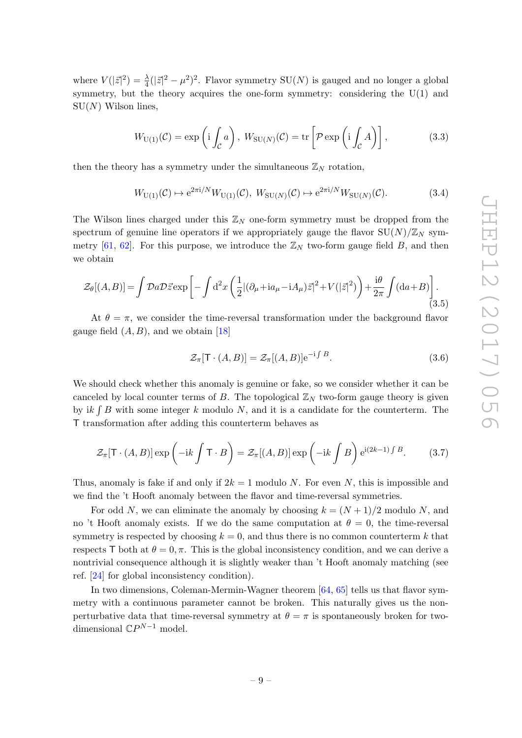where  $V(|\vec{z}|^2) = \frac{\lambda}{4}(|\vec{z}|^2 - \mu^2)^2$ . Flavor symmetry SU(N) is gauged and no longer a global symmetry, but the theory acquires the one-form symmetry: considering the  $U(1)$  and  $SU(N)$  Wilson lines,

$$
W_{\mathrm{U}(1)}(\mathcal{C}) = \exp\left(\mathrm{i} \int_{\mathcal{C}} a\right), \ W_{\mathrm{SU}(N)}(\mathcal{C}) = \mathrm{tr}\left[\mathcal{P}\exp\left(\mathrm{i} \int_{\mathcal{C}} A\right)\right],\tag{3.3}
$$

then the theory has a symmetry under the simultaneous  $\mathbb{Z}_N$  rotation,

$$
W_{\mathrm{U}(1)}(\mathcal{C}) \mapsto e^{2\pi i/N} W_{\mathrm{U}(1)}(\mathcal{C}), \ W_{\mathrm{SU}(N)}(\mathcal{C}) \mapsto e^{2\pi i/N} W_{\mathrm{SU}(N)}(\mathcal{C}). \tag{3.4}
$$

The Wilson lines charged under this  $\mathbb{Z}_N$  one-form symmetry must be dropped from the spectrum of genuine line operators if we appropriately gauge the flavor  $SU(N)/\mathbb{Z}_N$  sym-metry [\[61,](#page-20-5) [62\]](#page-20-7). For this purpose, we introduce the  $\mathbb{Z}_N$  two-form gauge field B, and then we obtain

$$
\mathcal{Z}_{\theta}[(A,B)] = \int \mathcal{D}a \mathcal{D}\vec{z} \exp\left[-\int d^{2}x \left(\frac{1}{2}|(\partial_{\mu} + i a_{\mu} - i A_{\mu})\vec{z}|^{2} + V(|\vec{z}|^{2})\right) + \frac{i\theta}{2\pi} \int (da + B)\right].
$$
\n(3.5)

At  $\theta = \pi$ , we consider the time-reversal transformation under the background flavor gauge field  $(A, B)$ , and we obtain [\[18\]](#page-18-4)

<span id="page-9-0"></span>
$$
\mathcal{Z}_{\pi}[\mathsf{T} \cdot (A, B)] = \mathcal{Z}_{\pi}[(A, B)] e^{-i \int B}.
$$
\n(3.6)

We should check whether this anomaly is genuine or fake, so we consider whether it can be canceled by local counter terms of B. The topological  $\mathbb{Z}_N$  two-form gauge theory is given by ik  $\int B$  with some integer k modulo N, and it is a candidate for the counterterm. The T transformation after adding this counterterm behaves as

$$
\mathcal{Z}_{\pi}[\mathsf{T} \cdot (A, B)] \exp\left(-\mathrm{i}k \int \mathsf{T} \cdot B\right) = \mathcal{Z}_{\pi}[(A, B)] \exp\left(-\mathrm{i}k \int B\right) e^{\mathrm{i}(2k-1) \int B}.\tag{3.7}
$$

Thus, anomaly is fake if and only if  $2k = 1$  modulo N. For even N, this is impossible and we find the 't Hooft anomaly between the flavor and time-reversal symmetries.

For odd N, we can eliminate the anomaly by choosing  $k = (N + 1)/2$  modulo N, and no 't Hooft anomaly exists. If we do the same computation at  $\theta = 0$ , the time-reversal symmetry is respected by choosing  $k = 0$ , and thus there is no common counterterm k that respects T both at  $\theta = 0, \pi$ . This is the global inconsistency condition, and we can derive a nontrivial consequence although it is slightly weaker than 't Hooft anomaly matching (see ref. [\[24\]](#page-18-5) for global inconsistency condition).

In two dimensions, Coleman-Mermin-Wagner theorem [\[64,](#page-20-8) [65\]](#page-20-9) tells us that flavor symmetry with a continuous parameter cannot be broken. This naturally gives us the nonperturbative data that time-reversal symmetry at  $\theta = \pi$  is spontaneously broken for twodimensional  $\mathbb{C}P^{N-1}$  model.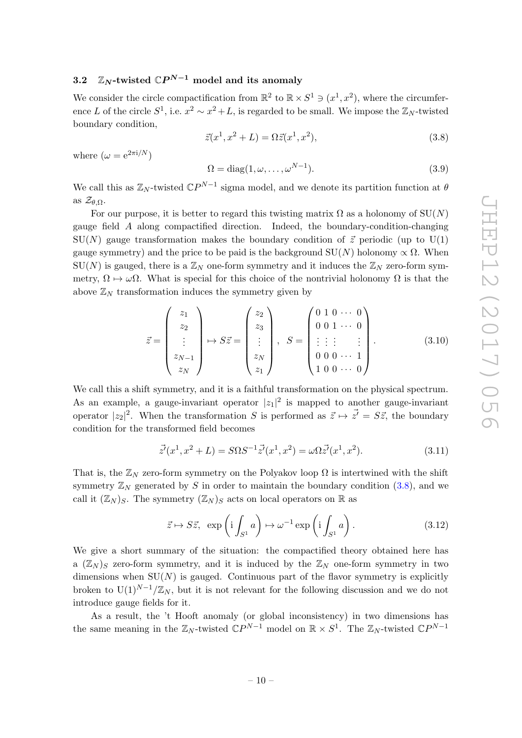# <span id="page-10-0"></span>3.2  $\mathbb{Z}_N$ -twisted  $\mathbb{C}P^{N-1}$  model and its anomaly

We consider the circle compactification from  $\mathbb{R}^2$  to  $\mathbb{R} \times S^1 \ni (x^1, x^2)$ , where the circumference L of the circle  $S^1$ , i.e.  $x^2 \sim x^2 + L$ , is regarded to be small. We impose the  $\mathbb{Z}_N$ -twisted boundary condition,

<span id="page-10-1"></span>
$$
\vec{z}(x^1, x^2 + L) = \Omega \vec{z}(x^1, x^2),\tag{3.8}
$$

where  $(\omega = e^{2\pi i/N})$ 

$$
\Omega = \text{diag}(1, \omega, \dots, \omega^{N-1}).\tag{3.9}
$$

We call this as  $\mathbb{Z}_N$ -twisted  $\mathbb{C}P^{N-1}$  sigma model, and we denote its partition function at  $\theta$ as  $\mathcal{Z}_{\theta,\Omega}$ .

For our purpose, it is better to regard this twisting matrix  $\Omega$  as a holonomy of  $SU(N)$ gauge field A along compactified direction. Indeed, the boundary-condition-changing  $SU(N)$  gauge transformation makes the boundary condition of  $\vec{z}$  periodic (up to U(1) gauge symmetry) and the price to be paid is the background  $SU(N)$  holonomy  $\propto \Omega$ . When  $SU(N)$  is gauged, there is a  $\mathbb{Z}_N$  one-form symmetry and it induces the  $\mathbb{Z}_N$  zero-form symmetry,  $\Omega \mapsto \omega\Omega$ . What is special for this choice of the nontrivial holonomy  $\Omega$  is that the above  $\mathbb{Z}_N$  transformation induces the symmetry given by

$$
\vec{z} = \begin{pmatrix} z_1 \\ z_2 \\ \vdots \\ z_{N-1} \\ z_N \end{pmatrix} \mapsto S\vec{z} = \begin{pmatrix} z_2 \\ z_3 \\ \vdots \\ z_N \\ z_1 \end{pmatrix}, \quad S = \begin{pmatrix} 0 & 1 & 0 & \cdots & 0 \\ 0 & 0 & 1 & \cdots & 0 \\ \vdots & \vdots & \vdots & & \vdots \\ 0 & 0 & 0 & \cdots & 1 \\ 1 & 0 & 0 & \cdots & 0 \end{pmatrix}.
$$
 (3.10)

We call this a shift symmetry, and it is a faithful transformation on the physical spectrum. As an example, a gauge-invariant operator  $|z_1|^2$  is mapped to another gauge-invariant operator  $|z_2|^2$ . When the transformation S is performed as  $\vec{z} \mapsto \vec{z'} = S\vec{z}$ , the boundary condition for the transformed field becomes

$$
\vec{z'}(x^1, x^2 + L) = S\Omega S^{-1}\vec{z'}(x^1, x^2) = \omega \Omega \vec{z'}(x^1, x^2). \tag{3.11}
$$

That is, the  $\mathbb{Z}_N$  zero-form symmetry on the Polyakov loop  $\Omega$  is intertwined with the shift symmetry  $\mathbb{Z}_N$  generated by S in order to maintain the boundary condition [\(3.8\)](#page-10-1), and we call it  $(\mathbb{Z}_N)_S$ . The symmetry  $(\mathbb{Z}_N)_S$  acts on local operators on  $\mathbb R$  as

$$
\vec{z} \mapsto S\vec{z}, \ \exp\left(i \int_{S^1} a\right) \mapsto \omega^{-1} \exp\left(i \int_{S^1} a\right). \tag{3.12}
$$

We give a short summary of the situation: the compactified theory obtained here has a  $(\mathbb{Z}_N)$  zero-form symmetry, and it is induced by the  $\mathbb{Z}_N$  one-form symmetry in two dimensions when  $SU(N)$  is gauged. Continuous part of the flavor symmetry is explicitly broken to U(1)<sup>N-1</sup>/ $\mathbb{Z}_N$ , but it is not relevant for the following discussion and we do not introduce gauge fields for it.

As a result, the 't Hooft anomaly (or global inconsistency) in two dimensions has the same meaning in the  $\mathbb{Z}_N$ -twisted  $\mathbb{C}P^{N-1}$  model on  $\mathbb{R} \times S^1$ . The  $\mathbb{Z}_N$ -twisted  $\mathbb{C}P^{N-1}$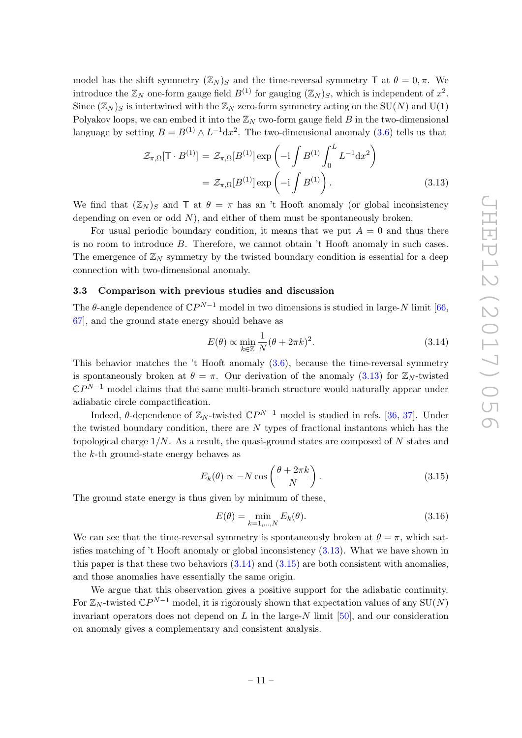model has the shift symmetry  $(\mathbb{Z}_N)_S$  and the time-reversal symmetry T at  $\theta = 0, \pi$ . We introduce the  $\mathbb{Z}_N$  one-form gauge field  $B^{(1)}$  for gauging  $(\mathbb{Z}_N)_S$ , which is independent of  $x^2$ . Since  $(\mathbb{Z}_N)_S$  is intertwined with the  $\mathbb{Z}_N$  zero-form symmetry acting on the SU(N) and U(1) Polyakov loops, we can embed it into the  $\mathbb{Z}_N$  two-form gauge field B in the two-dimensional language by setting  $B = B^{(1)} \wedge L^{-1} dx^2$ . The two-dimensional anomaly [\(3.6\)](#page-9-0) tells us that

<span id="page-11-1"></span>
$$
\mathcal{Z}_{\pi,\Omega}[\mathsf{T}\cdot B^{(1)}] = \mathcal{Z}_{\pi,\Omega}[B^{(1)}] \exp\left(-i \int B^{(1)} \int_0^L L^{-1} dx^2\right)
$$

$$
= \mathcal{Z}_{\pi,\Omega}[B^{(1)}] \exp\left(-i \int B^{(1)}\right). \tag{3.13}
$$

We find that  $(\mathbb{Z}_N)_S$  and T at  $\theta = \pi$  has an 't Hooft anomaly (or global inconsistency depending on even or odd  $N$ ), and either of them must be spontaneously broken.

For usual periodic boundary condition, it means that we put  $A = 0$  and thus there is no room to introduce B. Therefore, we cannot obtain 't Hooft anomaly in such cases. The emergence of  $\mathbb{Z}_N$  symmetry by the twisted boundary condition is essential for a deep connection with two-dimensional anomaly.

# <span id="page-11-0"></span>3.3 Comparison with previous studies and discussion

The  $\theta$ -angle dependence of  $\mathbb{C}P^{N-1}$  model in two dimensions is studied in large-N limit [\[66,](#page-20-10) [67\]](#page-21-0), and the ground state energy should behave as

<span id="page-11-2"></span>
$$
E(\theta) \propto \min_{k \in \mathbb{Z}} \frac{1}{N} (\theta + 2\pi k)^2.
$$
 (3.14)

This behavior matches the 't Hooft anomaly [\(3.6\)](#page-9-0), because the time-reversal symmetry is spontaneously broken at  $\theta = \pi$ . Our derivation of the anomaly [\(3.13\)](#page-11-1) for  $\mathbb{Z}_N$ -twisted  $\mathbb{C}P^{N-1}$  model claims that the same multi-branch structure would naturally appear under adiabatic circle compactification.

Indeed,  $\theta$ -dependence of  $\mathbb{Z}_N$ -twisted  $\mathbb{C}P^{N-1}$  model is studied in refs. [\[36,](#page-19-1) [37\]](#page-19-2). Under the twisted boundary condition, there are N types of fractional instantons which has the topological charge  $1/N$ . As a result, the quasi-ground states are composed of N states and the k-th ground-state energy behaves as

<span id="page-11-3"></span>
$$
E_k(\theta) \propto -N \cos\left(\frac{\theta + 2\pi k}{N}\right). \tag{3.15}
$$

The ground state energy is thus given by minimum of these,

$$
E(\theta) = \min_{k=1,\dots,N} E_k(\theta). \tag{3.16}
$$

We can see that the time-reversal symmetry is spontaneously broken at  $\theta = \pi$ , which satisfies matching of 't Hooft anomaly or global inconsistency [\(3.13\)](#page-11-1). What we have shown in this paper is that these two behaviors  $(3.14)$  and  $(3.15)$  are both consistent with anomalies, and those anomalies have essentially the same origin.

We argue that this observation gives a positive support for the adiabatic continuity. For  $\mathbb{Z}_N$ -twisted  $\mathbb{C}P^{N-1}$  model, it is rigorously shown that expectation values of any  $\text{SU}(N)$ invariant operators does not depend on  $L$  in the large-N limit [\[50\]](#page-20-1), and our consideration on anomaly gives a complementary and consistent analysis.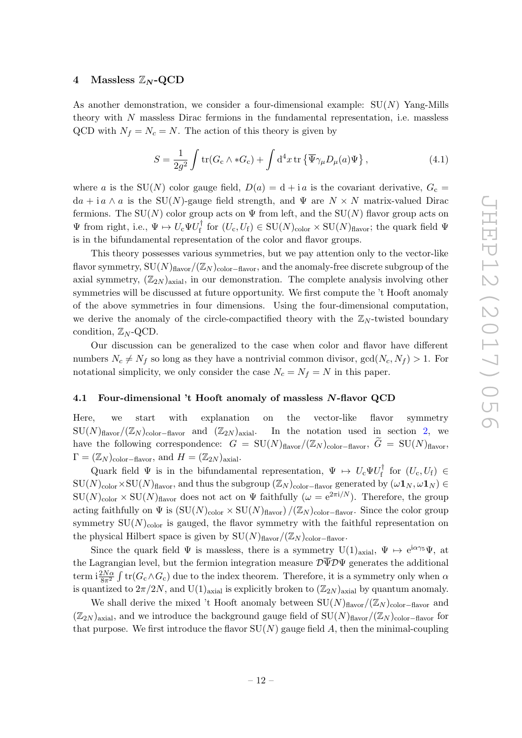# <span id="page-12-0"></span>4 Massless  $\mathbb{Z}_N$ -QCD

As another demonstration, we consider a four-dimensional example:  $SU(N)$  Yang-Mills theory with  $N$  massless Dirac fermions in the fundamental representation, i.e. massless QCD with  $N_f = N_c = N$ . The action of this theory is given by

<span id="page-12-2"></span>
$$
S = \frac{1}{2g^2} \int tr(G_c \wedge *G_c) + \int d^4x \, tr \left\{ \overline{\Psi} \gamma_\mu D_\mu(a) \Psi \right\},\tag{4.1}
$$

where a is the SU(N) color gauge field,  $D(a) = d + i a$  is the covariant derivative,  $G_c =$  $da + i a \wedge a$  is the SU(N)-gauge field strength, and  $\Psi$  are  $N \times N$  matrix-valued Dirac fermions. The SU(N) color group acts on  $\Psi$  from left, and the SU(N) flavor group acts on  $\Psi$  from right, i.e.,  $\Psi \mapsto U_{\rm c} \Psi U_{\rm f}^{\dagger}$  $f_f^{\dagger}$  for  $(U_c, U_f) \in SU(N)_{\text{color}} \times SU(N)_{\text{flavor}}$ ; the quark field  $\Psi$ is in the bifundamental representation of the color and flavor groups.

This theory possesses various symmetries, but we pay attention only to the vector-like flavor symmetry,  $SU(N)_{\text{flavor}}/(\mathbb{Z}_N)_{\text{color-flavor}}$ , and the anomaly-free discrete subgroup of the axial symmetry,  $(\mathbb{Z}_{2N})$ <sub>axial</sub>, in our demonstration. The complete analysis involving other symmetries will be discussed at future opportunity. We first compute the 't Hooft anomaly of the above symmetries in four dimensions. Using the four-dimensional computation, we derive the anomaly of the circle-compactified theory with the  $\mathbb{Z}_N$ -twisted boundary condition,  $\mathbb{Z}_N$ -QCD.

Our discussion can be generalized to the case when color and flavor have different numbers  $N_c \neq N_f$  so long as they have a nontrivial common divisor,  $gcd(N_c, N_f) > 1$ . For notational simplicity, we only consider the case  $N_c = N_f = N$  in this paper.

# <span id="page-12-1"></span>4.1 Four-dimensional 't Hooft anomaly of massless N-flavor QCD

Here, we start with explanation on the vector-like flavor symmetry  $\text{SU}(N)_{\text{flavor}}/(\mathbb{Z}_N)_{\text{color-flavor}}$  and  $(\mathbb{Z}_{2N})_{\text{axial}}$ . In the notation used in section [2,](#page-4-0) we have the following correspondence:  $G = SU(N)_{\text{flavor}}/(\mathbb{Z}_N)_{\text{color-flavor}}, \ \tilde{G} = SU(N)_{\text{flavor}},$  $\Gamma = (\mathbb{Z}_N)_{\text{color-flavor}}$ , and  $H = (\mathbb{Z}_{2N})_{\text{axial}}$ .

Quark field  $\Psi$  is in the bifundamental representation,  $\Psi \mapsto U_{\rm c}\Psi U_{\rm f}^{\dagger}$  $\int_{f}^{\tau}$  for  $(U_{c}, U_{f}) \in$  $\text{SU}(N)_{\text{color}}\times\text{SU}(N)_{\text{flavor}}$ , and thus the subgroup  $(\mathbb{Z}_N)_{\text{color-flavor}}$  generated by  $(\omega\mathbf{1}_N, \omega\mathbf{1}_N) \in$  $\text{SU}(N)_{\text{color}} \times \text{SU}(N)_{\text{flavor}}$  does not act on  $\Psi$  faithfully  $(\omega = e^{2\pi i/N})$ . Therefore, the group acting faithfully on  $\Psi$  is  $(SU(N)_{color} \times SU(N)_{flavor})/(\mathbb{Z}_N)_{color-flavor}$ . Since the color group symmetry  $SU(N)_{color}$  is gauged, the flavor symmetry with the faithful representation on the physical Hilbert space is given by  $SU(N)_{\text{flavor}}/(\mathbb{Z}_N)_{\text{color-flavor}}$ .

Since the quark field  $\Psi$  is massless, there is a symmetry  $U(1)_{axial}$ ,  $\Psi \mapsto e^{i\alpha\gamma_5}\Psi$ , at the Lagrangian level, but the fermion integration measure  $\mathcal{D} \overline{\Psi} \mathcal{D} \Psi$  generates the additional term  $i\frac{2N\alpha}{8\pi^2}\int tr(G_c\wedge G_c)$  due to the index theorem. Therefore, it is a symmetry only when  $\alpha$ is quantized to  $2\pi/2N$ , and  $U(1)_{axial}$  is explicitly broken to  $(\mathbb{Z}_{2N})_{axial}$  by quantum anomaly.

We shall derive the mixed 't Hooft anomaly between  $SU(N)_{\text{flavor}}/(\mathbb{Z}_N)_{\text{color-flavor}}$  and  $(\mathbb{Z}_{2N})$ <sub>axial</sub>, and we introduce the background gauge field of SU(N)<sub>flavor</sub>/( $\mathbb{Z}_N$ )<sub>color−flavor</sub> for that purpose. We first introduce the flavor  $SU(N)$  gauge field A, then the minimal-coupling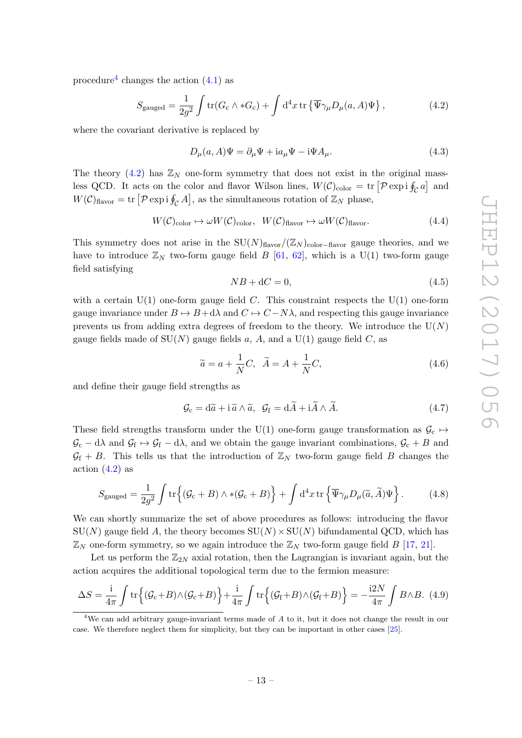procedure<sup>[4](#page-13-0)</sup> changes the action  $(4.1)$  as

<span id="page-13-1"></span>
$$
S_{\text{gauged}} = \frac{1}{2g^2} \int \text{tr}(G_c \wedge *G_c) + \int d^4x \, \text{tr}\left\{\overline{\Psi}\gamma_\mu D_\mu(a, A)\Psi\right\},\tag{4.2}
$$

where the covariant derivative is replaced by

$$
D_{\mu}(a, A)\Psi = \partial_{\mu}\Psi + i a_{\mu}\Psi - i\Psi A_{\mu}.
$$
\n(4.3)

The theory [\(4.2\)](#page-13-1) has  $\mathbb{Z}_N$  one-form symmetry that does not exist in the original massless QCD. It acts on the color and flavor Wilson lines,  $W(\mathcal{C})_{\text{color}} = \text{tr} \left[ \mathcal{P} \exp \mathrm{i} \oint_{\mathcal{C}} a \right]$  and  $W(\mathcal{C})_{\text{flavor}} = \text{tr} \left[ \mathcal{P} \exp \mathrm{i} \oint_{\mathcal{C}} A \right],$  as the simultaneous rotation of  $\mathbb{Z}_N$  phase,

<span id="page-13-2"></span>
$$
W(\mathcal{C})_{\text{color}} \to \omega W(\mathcal{C})_{\text{color}}, \ \ W(\mathcal{C})_{\text{flavor}} \to \omega W(\mathcal{C})_{\text{flavor}}.\tag{4.4}
$$

This symmetry does not arise in the  $SU(N)_{\text{flavor}}/(\mathbb{Z}_N)_{\text{color-flavor}}$  gauge theories, and we have to introduce  $\mathbb{Z}_N$  two-form gauge field B [\[61,](#page-20-5) [62\]](#page-20-7), which is a U(1) two-form gauge field satisfying

$$
NB + dC = 0,\t\t(4.5)
$$

with a certain  $U(1)$  one-form gauge field C. This constraint respects the  $U(1)$  one-form gauge invariance under  $B \to B + d\lambda$  and  $C \to C - N\lambda$ , and respecting this gauge invariance prevents us from adding extra degrees of freedom to the theory. We introduce the  $U(N)$ gauge fields made of  $SU(N)$  gauge fields a, A, and a  $U(1)$  gauge field C, as

$$
\widetilde{a} = a + \frac{1}{N}C, \quad \widetilde{A} = A + \frac{1}{N}C,\tag{4.6}
$$

and define their gauge field strengths as

$$
\mathcal{G}_{\rm c} = d\tilde{a} + i\tilde{a} \wedge \tilde{a}, \ \ \mathcal{G}_{\rm f} = d\tilde{A} + i\tilde{A} \wedge \tilde{A}.\tag{4.7}
$$

These field strengths transform under the U(1) one-form gauge transformation as  $\mathcal{G}_c \mapsto$  $\mathcal{G}_{c} - d\lambda$  and  $\mathcal{G}_{f} \mapsto \mathcal{G}_{f} - d\lambda$ , and we obtain the gauge invariant combinations,  $\mathcal{G}_{c} + B$  and  $\mathcal{G}_f + B$ . This tells us that the introduction of  $\mathbb{Z}_N$  two-form gauge field B changes the action  $(4.2)$  as

$$
S_{\text{gauged}} = \frac{1}{2g^2} \int \text{tr} \left\{ (\mathcal{G}_{\text{c}} + B) \wedge *(\mathcal{G}_{\text{c}} + B) \right\} + \int d^4x \, \text{tr} \left\{ \overline{\Psi} \gamma_\mu D_\mu(\widetilde{a}, \widetilde{A}) \Psi \right\}. \tag{4.8}
$$

We can shortly summarize the set of above procedures as follows: introducing the flavor  $SU(N)$  gauge field A, the theory becomes  $SU(N) \times SU(N)$  bifundamental QCD, which has  $\mathbb{Z}_N$  one-form symmetry, so we again introduce the  $\mathbb{Z}_N$  two-form gauge field B [\[17,](#page-18-6) [21\]](#page-18-7).

Let us perform the  $\mathbb{Z}_{2N}$  axial rotation, then the Lagrangian is invariant again, but the action acquires the additional topological term due to the fermion measure:

$$
\Delta S = \frac{\mathrm{i}}{4\pi} \int \mathrm{tr}\left\{ (\mathcal{G}_{\mathrm{c}} + B) \wedge (\mathcal{G}_{\mathrm{c}} + B) \right\} + \frac{\mathrm{i}}{4\pi} \int \mathrm{tr}\left\{ (\mathcal{G}_{\mathrm{f}} + B) \wedge (\mathcal{G}_{\mathrm{f}} + B) \right\} = -\frac{\mathrm{i}2N}{4\pi} \int B \wedge B. \tag{4.9}
$$

<span id="page-13-0"></span><sup>&</sup>lt;sup>4</sup>We can add arbitrary gauge-invariant terms made of  $A$  to it, but it does not change the result in our case. We therefore neglect them for simplicity, but they can be important in other cases [\[25\]](#page-18-0).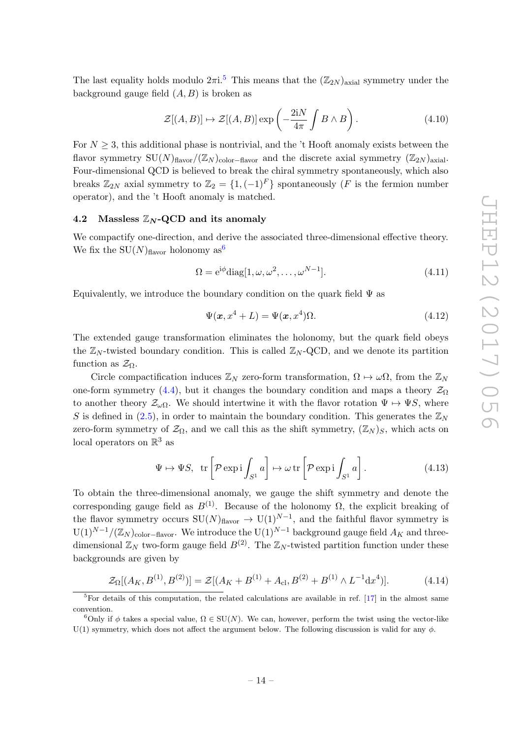The last equality holds modulo  $2\pi i$ .<sup>[5](#page-14-1)</sup> This means that the  $(\mathbb{Z}_{2N})$ <sub>axial</sub> symmetry under the background gauge field  $(A, B)$  is broken as

$$
\mathcal{Z}[(A,B)] \mapsto \mathcal{Z}[(A,B)] \exp\left(-\frac{2iN}{4\pi} \int B \wedge B\right). \tag{4.10}
$$

For  $N \geq 3$ , this additional phase is nontrivial, and the 't Hooft anomaly exists between the flavor symmetry  $SU(N)_{\text{flavor}}/(Z_N)_{\text{color-flavor}}$  and the discrete axial symmetry  $(Z_{2N})_{\text{axial}}$ . Four-dimensional QCD is believed to break the chiral symmetry spontaneously, which also breaks  $\mathbb{Z}_{2N}$  axial symmetry to  $\mathbb{Z}_2 = \{1, (-1)^F\}$  spontaneously (F is the fermion number operator), and the 't Hooft anomaly is matched.

# <span id="page-14-0"></span>4.2 Massless  $\mathbb{Z}_N$ -QCD and its anomaly

We compactify one-direction, and derive the associated three-dimensional effective theory. We fix the  $SU(N)_{\text{flavor}}$  holonomy as<sup>[6](#page-14-2)</sup>

<span id="page-14-3"></span>
$$
\Omega = e^{i\phi} \text{diag}[1, \omega, \omega^2, \dots, \omega^{N-1}]. \tag{4.11}
$$

Equivalently, we introduce the boundary condition on the quark field  $\Psi$  as

$$
\Psi(\mathbf{x}, x^4 + L) = \Psi(\mathbf{x}, x^4) \Omega.
$$
\n(4.12)

The extended gauge transformation eliminates the holonomy, but the quark field obeys the  $\mathbb{Z}_N$ -twisted boundary condition. This is called  $\mathbb{Z}_N$ -QCD, and we denote its partition function as  $\mathcal{Z}_{\Omega}$ .

Circle compactification induces  $\mathbb{Z}_N$  zero-form transformation,  $\Omega \mapsto \omega \Omega$ , from the  $\mathbb{Z}_N$ one-form symmetry [\(4.4\)](#page-13-2), but it changes the boundary condition and maps a theory  $\mathcal{Z}_{\Omega}$ to another theory  $\mathcal{Z}_{\omega\Omega}$ . We should intertwine it with the flavor rotation  $\Psi \mapsto \Psi S$ , where S is defined in [\(2.5\)](#page-6-2), in order to maintain the boundary condition. This generates the  $\mathbb{Z}_N$ zero-form symmetry of  $\mathcal{Z}_{\Omega}$ , and we call this as the shift symmetry,  $(\mathbb{Z}_N)_S$ , which acts on local operators on  $\mathbb{R}^3$  as

$$
\Psi \mapsto \Psi S, \text{ tr} \left[ \mathcal{P} \exp i \int_{S^1} a \right] \mapsto \omega \, \text{tr} \left[ \mathcal{P} \exp i \int_{S^1} a \right]. \tag{4.13}
$$

To obtain the three-dimensional anomaly, we gauge the shift symmetry and denote the corresponding gauge field as  $B^{(1)}$ . Because of the holonomy  $\Omega$ , the explicit breaking of the flavor symmetry occurs  $SU(N)_{\text{flavor}} \to U(1)^{N-1}$ , and the faithful flavor symmetry is  $U(1)^{N-1}/(\mathbb{Z}_N)_{color-flavor}$ . We introduce the  $U(1)^{N-1}$  background gauge field  $A_K$  and threedimensional  $\mathbb{Z}_N$  two-form gauge field  $B^{(2)}$ . The  $\mathbb{Z}_N$ -twisted partition function under these backgrounds are given by

$$
\mathcal{Z}_{\Omega}[(A_K, B^{(1)}, B^{(2)})] = \mathcal{Z}[(A_K + B^{(1)} + A_{\text{cl}}, B^{(2)} + B^{(1)} \wedge L^{-1} dx^4)]. \tag{4.14}
$$

<span id="page-14-1"></span><sup>&</sup>lt;sup>5</sup>For details of this computation, the related calculations are available in ref.  $[17]$  in the almost same convention.

<span id="page-14-2"></span><sup>&</sup>lt;sup>6</sup>Only if  $\phi$  takes a special value,  $\Omega \in SU(N)$ . We can, however, perform the twist using the vector-like U(1) symmetry, which does not affect the argument below. The following discussion is valid for any  $\phi$ .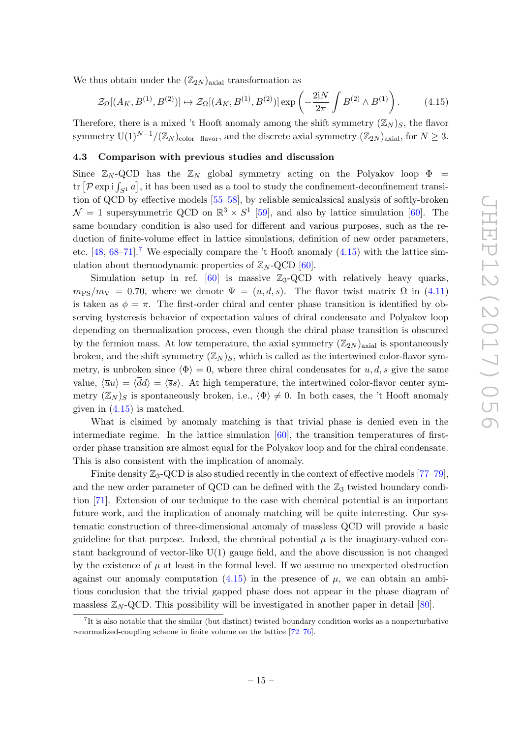We thus obtain under the  $(\mathbb{Z}_{2N})$ <sub>axial</sub> transformation as

<span id="page-15-2"></span>
$$
\mathcal{Z}_{\Omega}[(A_K, B^{(1)}, B^{(2)})] \mapsto \mathcal{Z}_{\Omega}[(A_K, B^{(1)}, B^{(2)})] \exp\left(-\frac{2iN}{2\pi} \int B^{(2)} \wedge B^{(1)}\right). \tag{4.15}
$$

Therefore, there is a mixed 't Hooft anomaly among the shift symmetry  $(\mathbb{Z}_N)_S$ , the flavor symmetry  $U(1)^{N-1}/(\mathbb{Z}_N)_{\text{color-flavor}}$ , and the discrete axial symmetry  $(\mathbb{Z}_{2N})_{\text{axial}}$ , for  $N \geq 3$ .

#### <span id="page-15-0"></span>4.3 Comparison with previous studies and discussion

Since  $\mathbb{Z}_N$ -QCD has the  $\mathbb{Z}_N$  global symmetry acting on the Polyakov loop  $\Phi =$ tr  $[\mathcal{P} \exp i \int_{S^1} a]$ , it has been used as a tool to study the confinement-deconfinement transition of QCD by effective models [\[55–](#page-20-3)[58\]](#page-20-11), by reliable semicalssical analysis of softly-broken  $\mathcal{N} = 1$  supersymmetric QCD on  $\mathbb{R}^3 \times S^1$  [\[59\]](#page-20-12), and also by lattice simulation [\[60\]](#page-20-4). The same boundary condition is also used for different and various purposes, such as the reduction of finite-volume effect in lattice simulations, definition of new order parameters, etc.  $[48, 68-71]$  $[48, 68-71]$  $[48, 68-71]$  $[48, 68-71]$  $[48, 68-71]$ .<sup>7</sup> We especially compare the 't Hooft anomaly  $(4.15)$  with the lattice simulation about thermodynamic properties of  $\mathbb{Z}_N$ -QCD [\[60\]](#page-20-4).

Simulation setup in ref.  $[60]$  is massive  $\mathbb{Z}_3$ -QCD with relatively heavy quarks,  $m_{\rm PS}/m_{\rm V} = 0.70$ , where we denote  $\Psi = (u, d, s)$ . The flavor twist matrix  $\Omega$  in [\(4.11\)](#page-14-3) is taken as  $\phi = \pi$ . The first-order chiral and center phase transition is identified by observing hysteresis behavior of expectation values of chiral condensate and Polyakov loop depending on thermalization process, even though the chiral phase transition is obscured by the fermion mass. At low temperature, the axial symmetry  $(\mathbb{Z}_{2N})$ <sub>axial</sub> is spontaneously broken, and the shift symmetry  $(\mathbb{Z}_N)_S$ , which is called as the intertwined color-flavor symmetry, is unbroken since  $\langle \Phi \rangle = 0$ , where three chiral condensates for u, d, s give the same value,  $\langle \overline{u}u \rangle = \langle \overline{d}d \rangle = \langle \overline{s}s \rangle$ . At high temperature, the intertwined color-flavor center symmetry  $(\mathbb{Z}_N)_S$  is spontaneously broken, i.e.,  $\langle \Phi \rangle \neq 0$ . In both cases, the 't Hooft anomaly given in [\(4.15\)](#page-15-2) is matched.

What is claimed by anomaly matching is that trivial phase is denied even in the intermediate regime. In the lattice simulation [\[60\]](#page-20-4), the transition temperatures of firstorder phase transition are almost equal for the Polyakov loop and for the chiral condensate. This is also consistent with the implication of anomaly.

Finite density Z3-QCD is also studied recently in the context of effective models [\[77–](#page-21-3)[79\]](#page-21-4), and the new order parameter of QCD can be defined with the  $\mathbb{Z}_3$  twisted boundary condition [\[71\]](#page-21-2). Extension of our technique to the case with chemical potential is an important future work, and the implication of anomaly matching will be quite interesting. Our systematic construction of three-dimensional anomaly of massless QCD will provide a basic guideline for that purpose. Indeed, the chemical potential  $\mu$  is the imaginary-valued constant background of vector-like  $U(1)$  gauge field, and the above discussion is not changed by the existence of  $\mu$  at least in the formal level. If we assume no unexpected obstruction against our anomaly computation  $(4.15)$  in the presence of  $\mu$ , we can obtain an ambitious conclusion that the trivial gapped phase does not appear in the phase diagram of massless  $\mathbb{Z}_N$ -QCD. This possibility will be investigated in another paper in detail [\[80\]](#page-21-5).

<span id="page-15-1"></span><sup>7</sup> It is also notable that the similar (but distinct) twisted boundary condition works as a nonperturbative renormalized-coupling scheme in finite volume on the lattice [\[72](#page-21-6)[–76\]](#page-21-7).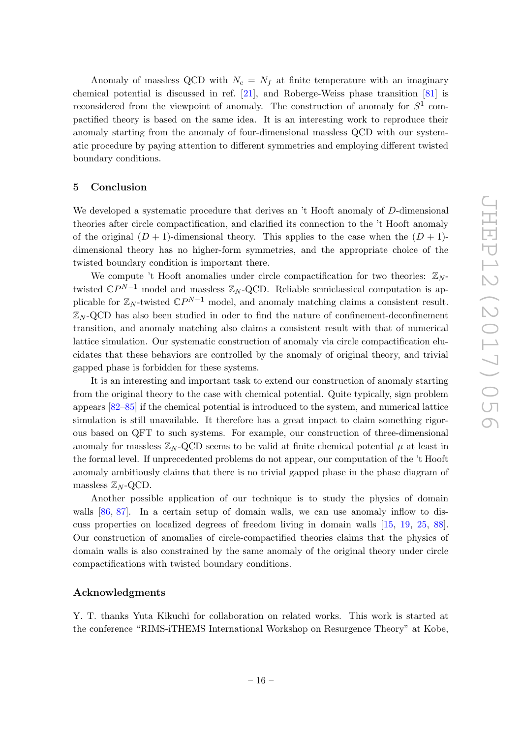Anomaly of massless QCD with  $N_c = N_f$  at finite temperature with an imaginary chemical potential is discussed in ref. [\[21\]](#page-18-7), and Roberge-Weiss phase transition [\[81\]](#page-21-8) is reconsidered from the viewpoint of anomaly. The construction of anomaly for  $S^1$  compactified theory is based on the same idea. It is an interesting work to reproduce their anomaly starting from the anomaly of four-dimensional massless QCD with our systematic procedure by paying attention to different symmetries and employing different twisted boundary conditions.

# <span id="page-16-0"></span>5 Conclusion

We developed a systematic procedure that derives an 't Hooft anomaly of D-dimensional theories after circle compactification, and clarified its connection to the 't Hooft anomaly of the original  $(D + 1)$ -dimensional theory. This applies to the case when the  $(D + 1)$ dimensional theory has no higher-form symmetries, and the appropriate choice of the twisted boundary condition is important there.

We compute 't Hooft anomalies under circle compactification for two theories:  $\mathbb{Z}_N$ twisted  $\mathbb{C}P^{N-1}$  model and massless  $\mathbb{Z}_N$ -QCD. Reliable semiclassical computation is applicable for  $\mathbb{Z}_N$ -twisted  $\mathbb{C}P^{N-1}$  model, and anomaly matching claims a consistent result.  $\mathbb{Z}_N$ -QCD has also been studied in oder to find the nature of confinement-deconfinement transition, and anomaly matching also claims a consistent result with that of numerical lattice simulation. Our systematic construction of anomaly via circle compactification elucidates that these behaviors are controlled by the anomaly of original theory, and trivial gapped phase is forbidden for these systems.

It is an interesting and important task to extend our construction of anomaly starting from the original theory to the case with chemical potential. Quite typically, sign problem appears [\[82–](#page-21-9)[85\]](#page-22-0) if the chemical potential is introduced to the system, and numerical lattice simulation is still unavailable. It therefore has a great impact to claim something rigorous based on QFT to such systems. For example, our construction of three-dimensional anomaly for massless  $\mathbb{Z}_N$ -QCD seems to be valid at finite chemical potential  $\mu$  at least in the formal level. If unprecedented problems do not appear, our computation of the 't Hooft anomaly ambitiously claims that there is no trivial gapped phase in the phase diagram of massless  $\mathbb{Z}_N$ -QCD.

Another possible application of our technique is to study the physics of domain walls [\[86,](#page-22-1) [87\]](#page-22-2). In a certain setup of domain walls, we can use anomaly inflow to discuss properties on localized degrees of freedom living in domain walls [\[15,](#page-18-3) [19,](#page-18-8) [25,](#page-18-0) [88\]](#page-22-3). Our construction of anomalies of circle-compactified theories claims that the physics of domain walls is also constrained by the same anomaly of the original theory under circle compactifications with twisted boundary conditions.

### Acknowledgments

Y. T. thanks Yuta Kikuchi for collaboration on related works. This work is started at the conference "RIMS-iTHEMS International Workshop on Resurgence Theory" at Kobe,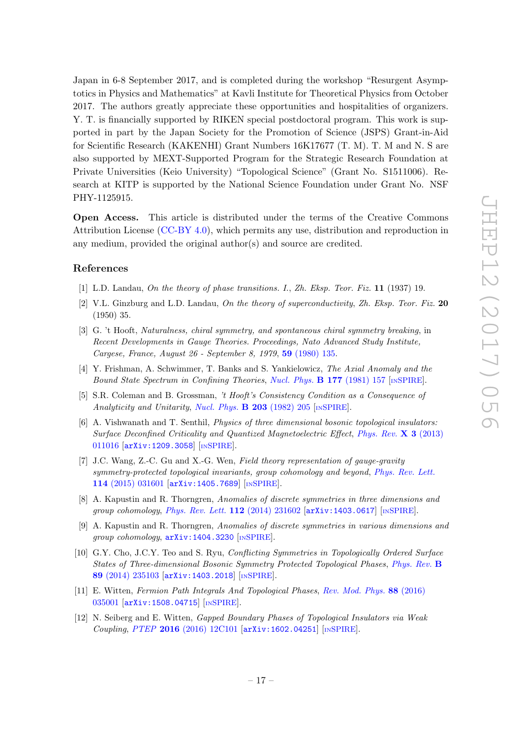Japan in 6-8 September 2017, and is completed during the workshop "Resurgent Asymptotics in Physics and Mathematics" at Kavli Institute for Theoretical Physics from October 2017. The authors greatly appreciate these opportunities and hospitalities of organizers. Y. T. is financially supported by RIKEN special postdoctoral program. This work is supported in part by the Japan Society for the Promotion of Science (JSPS) Grant-in-Aid for Scientific Research (KAKENHI) Grant Numbers 16K17677 (T. M). T. M and N. S are also supported by MEXT-Supported Program for the Strategic Research Foundation at Private Universities (Keio University) "Topological Science" (Grant No. S1511006). Research at KITP is supported by the National Science Foundation under Grant No. NSF PHY-1125915.

Open Access. This article is distributed under the terms of the Creative Commons Attribution License [\(CC-BY 4.0\)](https://creativecommons.org/licenses/by/4.0/), which permits any use, distribution and reproduction in any medium, provided the original author(s) and source are credited.

# References

- <span id="page-17-0"></span>[1] L.D. Landau, On the theory of phase transitions. I., Zh. Eksp. Teor. Fiz. 11 (1937) 19.
- <span id="page-17-1"></span>[2] V.L. Ginzburg and L.D. Landau, On the theory of superconductivity, Zh. Eksp. Teor. Fiz. 20 (1950) 35.
- <span id="page-17-2"></span>[3] G. 't Hooft, Naturalness, chiral symmetry, and spontaneous chiral symmetry breaking, in Recent Developments in Gauge Theories. Proceedings, Nato Advanced Study Institute, Cargese, France, August 26 - September 8, 1979, 59 [\(1980\) 135.](https://doi.org/10.1007/978-1-4684-7571-5_9)
- [4] Y. Frishman, A. Schwimmer, T. Banks and S. Yankielowicz, The Axial Anomaly and the Bound State Spectrum in Confining Theories, [Nucl. Phys.](https://doi.org/10.1016/0550-3213(81)90268-6) B 177 (1981) 157 [IN[SPIRE](https://inspirehep.net/search?p=find+J+%22Nucl.Phys.,B177,157%22)].
- <span id="page-17-3"></span>[5] S.R. Coleman and B. Grossman, 't Hooft's Consistency Condition as a Consequence of Analyticity and Unitarity, [Nucl. Phys.](https://doi.org/10.1016/0550-3213(82)90028-1) **B 203** (1982) 205 [IN[SPIRE](https://inspirehep.net/search?p=find+J+%22Nucl.Phys.,B203,205%22)].
- <span id="page-17-4"></span>[6] A. Vishwanath and T. Senthil, *Physics of three dimensional bosonic topological insulators:* Surface Deconfined Criticality and Quantized Magnetoelectric Effect, [Phys. Rev.](https://doi.org/10.1103/PhysRevX.3.011016) X 3 (2013) [011016](https://doi.org/10.1103/PhysRevX.3.011016) [[arXiv:1209.3058](https://arxiv.org/abs/1209.3058)] [IN[SPIRE](https://inspirehep.net/search?p=find+EPRINT+arXiv:1209.3058)].
- [7] J.C. Wang, Z.-C. Gu and X.-G. Wen, Field theory representation of gauge-gravity symmetry-protected topological invariants, group cohomology and beyond, [Phys. Rev. Lett.](https://doi.org/10.1103/PhysRevLett.114.031601) 114 [\(2015\) 031601](https://doi.org/10.1103/PhysRevLett.114.031601) [[arXiv:1405.7689](https://arxiv.org/abs/1405.7689)] [IN[SPIRE](https://inspirehep.net/search?p=find+EPRINT+arXiv:1405.7689)].
- [8] A. Kapustin and R. Thorngren, Anomalies of discrete symmetries in three dimensions and group cohomology, [Phys. Rev. Lett.](https://doi.org/10.1103/PhysRevLett.112.231602) 112 (2014) 231602 [[arXiv:1403.0617](https://arxiv.org/abs/1403.0617)] [IN[SPIRE](https://inspirehep.net/search?p=find+EPRINT+arXiv:1403.0617)].
- [9] A. Kapustin and R. Thorngren, Anomalies of discrete symmetries in various dimensions and group cohomology, [arXiv:1404.3230](https://arxiv.org/abs/1404.3230) [IN[SPIRE](https://inspirehep.net/search?p=find+EPRINT+arXiv:1404.3230)].
- <span id="page-17-5"></span>[10] G.Y. Cho, J.C.Y. Teo and S. Ryu, Conflicting Symmetries in Topologically Ordered Surface States of Three-dimensional Bosonic Symmetry Protected Topological Phases, [Phys. Rev.](https://doi.org/10.1103/PhysRevB.89.235103) B 89 [\(2014\) 235103](https://doi.org/10.1103/PhysRevB.89.235103) [[arXiv:1403.2018](https://arxiv.org/abs/1403.2018)] [IN[SPIRE](https://inspirehep.net/search?p=find+EPRINT+arXiv:1403.2018)].
- <span id="page-17-6"></span>[11] E. Witten, Fermion Path Integrals And Topological Phases, [Rev. Mod. Phys.](https://doi.org/10.1103/RevModPhys.88.035001) 88 (2016) [035001](https://doi.org/10.1103/RevModPhys.88.035001) [[arXiv:1508.04715](https://arxiv.org/abs/1508.04715)] [IN[SPIRE](https://inspirehep.net/search?p=find+EPRINT+arXiv:1508.04715)].
- [12] N. Seiberg and E. Witten, Gapped Boundary Phases of Topological Insulators via Weak Coupling, PTEP 2016 [\(2016\) 12C101](https://doi.org/10.1093/ptep/ptw083) [[arXiv:1602.04251](https://arxiv.org/abs/1602.04251)] [IN[SPIRE](https://inspirehep.net/search?p=find+EPRINT+arXiv:1602.04251)].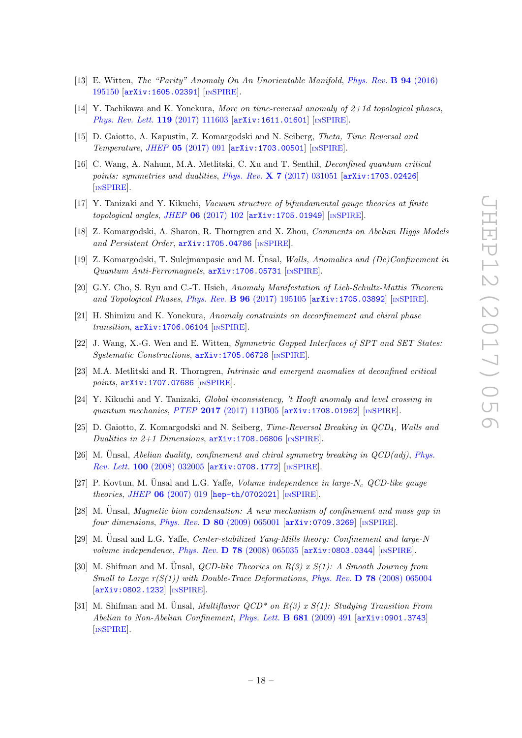- [13] E. Witten, The "Parity" Anomaly On An Unorientable Manifold, [Phys. Rev.](https://doi.org/10.1103/PhysRevB.94.195150) B 94 (2016) [195150](https://doi.org/10.1103/PhysRevB.94.195150) [[arXiv:1605.02391](https://arxiv.org/abs/1605.02391)] [IN[SPIRE](https://inspirehep.net/search?p=find+EPRINT+arXiv:1605.02391)].
- [14] Y. Tachikawa and K. Yonekura, More on time-reversal anomaly of  $2+1d$  topological phases, [Phys. Rev. Lett.](https://doi.org/10.1103/PhysRevLett.119.111603) 119 (2017) 111603 [[arXiv:1611.01601](https://arxiv.org/abs/1611.01601)] [IN[SPIRE](https://inspirehep.net/search?p=find+EPRINT+arXiv:1611.01601)].
- <span id="page-18-3"></span>[15] D. Gaiotto, A. Kapustin, Z. Komargodski and N. Seiberg, Theta, Time Reversal and Temperature, JHEP 05 [\(2017\) 091](https://doi.org/10.1007/JHEP05(2017)091) [[arXiv:1703.00501](https://arxiv.org/abs/1703.00501)] [IN[SPIRE](https://inspirehep.net/search?p=find+EPRINT+arXiv:1703.00501)].
- [16] C. Wang, A. Nahum, M.A. Metlitski, C. Xu and T. Senthil, Deconfined quantum critical points: symmetries and dualities, Phys. Rev.  $X 7 (2017) 031051$  $X 7 (2017) 031051$  [[arXiv:1703.02426](https://arxiv.org/abs/1703.02426)] [IN[SPIRE](https://inspirehep.net/search?p=find+EPRINT+arXiv:1703.02426)].
- <span id="page-18-6"></span>[17] Y. Tanizaki and Y. Kikuchi, Vacuum structure of bifundamental gauge theories at finite topological angles, JHEP  $06$  [\(2017\) 102](https://doi.org/10.1007/JHEP06(2017)102)  $\text{arXiv:1705.01949}$  $\text{arXiv:1705.01949}$  $\text{arXiv:1705.01949}$  [IN[SPIRE](https://inspirehep.net/search?p=find+EPRINT+arXiv:1705.01949)].
- <span id="page-18-4"></span>[18] Z. Komargodski, A. Sharon, R. Thorngren and X. Zhou, Comments on Abelian Higgs Models and Persistent Order,  $arXiv:1705.04786$  [IN[SPIRE](https://inspirehep.net/search?p=find+EPRINT+arXiv:1705.04786)].
- <span id="page-18-8"></span>[19] Z. Komargodski, T. Sulejmanpasic and M. Unsal, *Walls, Anomalies and*  $(De) Confinement in$ Quantum Anti-Ferromagnets, [arXiv:1706.05731](https://arxiv.org/abs/1706.05731) [IN[SPIRE](https://inspirehep.net/search?p=find+EPRINT+arXiv:1706.05731)].
- [20] G.Y. Cho, S. Ryu and C.-T. Hsieh, Anomaly Manifestation of Lieb-Schultz-Mattis Theorem and Topological Phases, Phys. Rev. B 96 [\(2017\) 195105](https://doi.org/10.1103/PhysRevB.96.195105) [[arXiv:1705.03892](https://arxiv.org/abs/1705.03892)] [IN[SPIRE](https://inspirehep.net/search?p=find+EPRINT+arXiv:1705.03892)].
- <span id="page-18-7"></span>[21] H. Shimizu and K. Yonekura, Anomaly constraints on deconfinement and chiral phase transition,  $arXiv:1706.06104$  [IN[SPIRE](https://inspirehep.net/search?p=find+EPRINT+arXiv:1706.06104)].
- [22] J. Wang, X.-G. Wen and E. Witten, Symmetric Gapped Interfaces of SPT and SET States: Systematic Constructions,  $arXiv:1705.06728$  [IN[SPIRE](https://inspirehep.net/search?p=find+EPRINT+arXiv:1705.06728)].
- [23] M.A. Metlitski and R. Thorngren, Intrinsic and emergent anomalies at deconfined critical points, [arXiv:1707.07686](https://arxiv.org/abs/1707.07686) [IN[SPIRE](https://inspirehep.net/search?p=find+EPRINT+arXiv:1707.07686)].
- <span id="page-18-5"></span>[24] Y. Kikuchi and Y. Tanizaki, Global inconsistency, 't Hooft anomaly and level crossing in quantum mechanics, PTEP 2017 [\(2017\) 113B05](https://doi.org/10.1093/ptep/ptx148)  $\ar{xiv:1708.01962}$  [IN[SPIRE](https://inspirehep.net/search?p=find+EPRINT+arXiv:1708.01962)].
- <span id="page-18-0"></span>[25] D. Gaiotto, Z. Komargodski and N. Seiberg, Time-Reversal Breaking in QCD4, Walls and Dualities in  $2+1$  Dimensions,  $arXiv:1708.06806$  [IN[SPIRE](https://inspirehep.net/search?p=find+EPRINT+arXiv:1708.06806)].
- <span id="page-18-1"></span>[26] M. Unsal, Abelian duality, confinement and chiral symmetry breaking in  $QCD(adj)$ , [Phys.](https://doi.org/10.1103/PhysRevLett.100.032005) Rev. Lett. 100 [\(2008\) 032005](https://doi.org/10.1103/PhysRevLett.100.032005) [[arXiv:0708.1772](https://arxiv.org/abs/0708.1772)] [IN[SPIRE](https://inspirehep.net/search?p=find+EPRINT+arXiv:0708.1772)].
- [27] P. Kovtun, M. Ünsal and L.G. Yaffe, Volume independence in large-N<sub>c</sub> QCD-like gauge theories, JHEP 06 [\(2007\) 019](https://doi.org/10.1088/1126-6708/2007/06/019) [[hep-th/0702021](https://arxiv.org/abs/hep-th/0702021)] [IN[SPIRE](https://inspirehep.net/search?p=find+EPRINT+hep-th/0702021)].
- [28] M. Unsal, *Magnetic bion condensation: A new mechanism of confinement and mass gap in* four dimensions, Phys. Rev. D 80 [\(2009\) 065001](https://doi.org/10.1103/PhysRevD.80.065001) [[arXiv:0709.3269](https://arxiv.org/abs/0709.3269)] [IN[SPIRE](https://inspirehep.net/search?p=find+EPRINT+arXiv:0709.3269)].
- [29] M. Unsal and L.G. Yaffe, *Center-stabilized Yang-Mills theory: Confinement and large-N* volume independence, Phys. Rev. D 78 [\(2008\) 065035](https://doi.org/10.1103/PhysRevD.78.065035) [[arXiv:0803.0344](https://arxiv.org/abs/0803.0344)] [IN[SPIRE](https://inspirehep.net/search?p=find+EPRINT+arXiv:0803.0344)].
- [30] M. Shifman and M. Unsal, *QCD-like Theories on R(3) x S(1): A Smooth Journey from* Small to Large  $r(S(1))$  with Double-Trace Deformations, Phys. Rev. **D** 78 [\(2008\) 065004](https://doi.org/10.1103/PhysRevD.78.065004) [[arXiv:0802.1232](https://arxiv.org/abs/0802.1232)] [IN[SPIRE](https://inspirehep.net/search?p=find+EPRINT+arXiv:0802.1232)].
- <span id="page-18-2"></span>[31] M. Shifman and M. Unsal, *Multiflavor QCD<sup>\*</sup> on R(3)* x  $S(1)$ : Studying Transition From Abelian to Non-Abelian Confinement, [Phys. Lett.](https://doi.org/10.1016/j.physletb.2009.10.060) B 681 (2009) 491 [[arXiv:0901.3743](https://arxiv.org/abs/0901.3743)] [IN[SPIRE](https://inspirehep.net/search?p=find+EPRINT+arXiv:0901.3743)].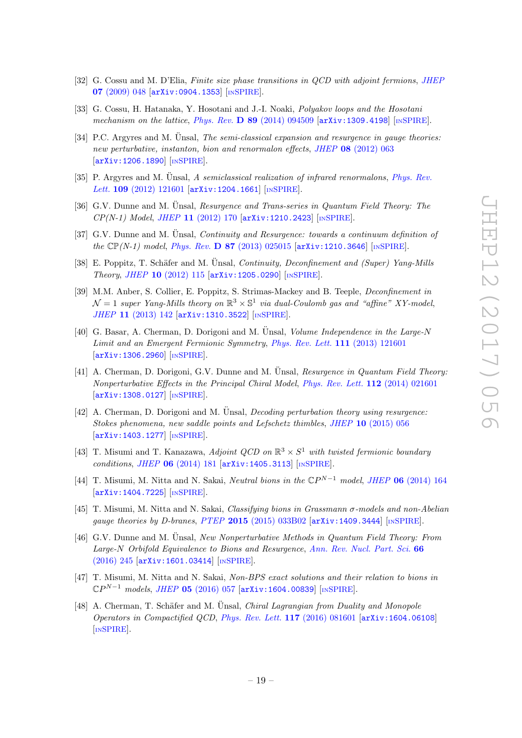- <span id="page-19-0"></span>[32] G. Cossu and M. D'Elia, Finite size phase transitions in QCD with adjoint fermions, [JHEP](https://doi.org/10.1088/1126-6708/2009/07/048) 07 [\(2009\) 048](https://doi.org/10.1088/1126-6708/2009/07/048) [[arXiv:0904.1353](https://arxiv.org/abs/0904.1353)] [IN[SPIRE](https://inspirehep.net/search?p=find+EPRINT+arXiv:0904.1353)].
- [33] G. Cossu, H. Hatanaka, Y. Hosotani and J.-I. Noaki, *Polyakov loops and the Hosotani* mechanism on the lattice, Phys. Rev.  $\bf{D}$  89 [\(2014\) 094509](https://doi.org/10.1103/PhysRevD.89.094509) [[arXiv:1309.4198](https://arxiv.org/abs/1309.4198)] [IN[SPIRE](https://inspirehep.net/search?p=find+EPRINT+arXiv:1309.4198)].
- [34] P.C. Argyres and M. Unsal, *The semi-classical expansion and resurgence in gauge theories:* new perturbative, instanton, bion and renormalon effects, JHEP 08 [\(2012\) 063](https://doi.org/10.1007/JHEP08(2012)063) [[arXiv:1206.1890](https://arxiv.org/abs/1206.1890)] [IN[SPIRE](https://inspirehep.net/search?p=find+EPRINT+arXiv:1206.1890)].
- [35] P. Argyres and M. Unsal, A semiclassical realization of infrared renormalons, [Phys. Rev.](https://doi.org/10.1103/PhysRevLett.109.121601) Lett. 109 [\(2012\) 121601](https://doi.org/10.1103/PhysRevLett.109.121601) [arXiv: 1204.1661] [IN[SPIRE](https://inspirehep.net/search?p=find+EPRINT+arXiv:1204.1661)].
- <span id="page-19-1"></span>[36] G.V. Dunne and M. Ünsal, Resurgence and Trans-series in Quantum Field Theory: The  $CP(N-1)$  Model, JHEP 11 [\(2012\) 170](https://doi.org/10.1007/JHEP11(2012)170)  $\text{arXiv:1210.2423}$  $\text{arXiv:1210.2423}$  $\text{arXiv:1210.2423}$   $\text{lnSPIRE}$  $\text{lnSPIRE}$  $\text{lnSPIRE}$ .
- <span id="page-19-2"></span>[37] G.V. Dunne and M. Unsal, *Continuity and Resurgence: towards a continuum definition of* the  $\mathbb{CP}(N-1)$  model, Phys. Rev. D 87 [\(2013\) 025015](https://doi.org/10.1103/PhysRevD.87.025015) [[arXiv:1210.3646](https://arxiv.org/abs/1210.3646)] [IN[SPIRE](https://inspirehep.net/search?p=find+EPRINT+arXiv:1210.3646)].
- [38] E. Poppitz, T. Schäfer and M. Ünsal, *Continuity, Deconfinement and (Super) Yang-Mills* Theory, JHEP  $10$  [\(2012\) 115](https://doi.org/10.1007/JHEP10(2012)115)  $\text{arXiv:1205.0290}$  $\text{arXiv:1205.0290}$  $\text{arXiv:1205.0290}$  [IN[SPIRE](https://inspirehep.net/search?p=find+EPRINT+arXiv:1205.0290)].
- [39] M.M. Anber, S. Collier, E. Poppitz, S. Strimas-Mackey and B. Teeple, Deconfinement in  $\mathcal{N}=1$  super Yang-Mills theory on  $\mathbb{R}^3\times\mathbb{S}^1$  via dual-Coulomb gas and "affine" XY-model, JHEP 11 [\(2013\) 142](https://doi.org/10.1007/JHEP11(2013)142) [[arXiv:1310.3522](https://arxiv.org/abs/1310.3522)] [IN[SPIRE](https://inspirehep.net/search?p=find+EPRINT+arXiv:1310.3522)].
- <span id="page-19-6"></span>[40] G. Basar, A. Cherman, D. Dorigoni and M. Unsal, *Volume Independence in the Large-N* Limit and an Emergent Fermionic Symmetry, [Phys. Rev. Lett.](https://doi.org/10.1103/PhysRevLett.111.121601) 111 (2013) 121601 [[arXiv:1306.2960](https://arxiv.org/abs/1306.2960)] [IN[SPIRE](https://inspirehep.net/search?p=find+EPRINT+arXiv:1306.2960)].
- <span id="page-19-3"></span>[41] A. Cherman, D. Dorigoni, G.V. Dunne and M. Ünsal, Resurgence in Quantum Field Theory: Nonperturbative Effects in the Principal Chiral Model, [Phys. Rev. Lett.](https://doi.org/10.1103/PhysRevLett.112.021601) 112 (2014) 021601 [[arXiv:1308.0127](https://arxiv.org/abs/1308.0127)] [IN[SPIRE](https://inspirehep.net/search?p=find+EPRINT+arXiv:1308.0127)].
- $[42]$  A. Cherman, D. Dorigoni and M. Unsal, *Decoding perturbation theory using resurgence:* Stokes phenomena, new saddle points and Lefschetz thimbles, JHEP 10 [\(2015\) 056](https://doi.org/10.1007/JHEP10(2015)056) [[arXiv:1403.1277](https://arxiv.org/abs/1403.1277)] [IN[SPIRE](https://inspirehep.net/search?p=find+EPRINT+arXiv:1403.1277)].
- [43] T. Misumi and T. Kanazawa, Adjoint QCD on  $\mathbb{R}^3 \times S^1$  with twisted fermionic boundary conditions, JHEP 06 [\(2014\) 181](https://doi.org/10.1007/JHEP06(2014)181) [[arXiv:1405.3113](https://arxiv.org/abs/1405.3113)] [IN[SPIRE](https://inspirehep.net/search?p=find+EPRINT+arXiv:1405.3113)].
- <span id="page-19-4"></span>[44] T. Misumi, M. Nitta and N. Sakai, Neutral bions in the  $\mathbb{C}P^{N-1}$  model, JHEP 06 [\(2014\) 164](https://doi.org/10.1007/JHEP06(2014)164) [[arXiv:1404.7225](https://arxiv.org/abs/1404.7225)] [IN[SPIRE](https://inspirehep.net/search?p=find+EPRINT+arXiv:1404.7225)].
- <span id="page-19-5"></span>[45] T. Misumi, M. Nitta and N. Sakai, *Classifying bions in Grassmann*  $\sigma$ -models and non-Abelian gauge theories by D-branes, PTEP 2015 [\(2015\) 033B02](https://doi.org/10.1093/ptep/ptv009)  $\left[$ [arXiv:1409.3444](https://arxiv.org/abs/1409.3444) $\right]$  [IN[SPIRE](https://inspirehep.net/search?p=find+EPRINT+arXiv:1409.3444)].
- [46] G.V. Dunne and M. Unsal, New Nonperturbative Methods in Quantum Field Theory: From Large-N Orbifold Equivalence to Bions and Resurgence, [Ann. Rev. Nucl. Part. Sci.](https://doi.org/10.1146/annurev-nucl-102115-044755) 66 [\(2016\) 245](https://doi.org/10.1146/annurev-nucl-102115-044755) [[arXiv:1601.03414](https://arxiv.org/abs/1601.03414)] [IN[SPIRE](https://inspirehep.net/search?p=find+EPRINT+arXiv:1601.03414)].
- [47] T. Misumi, M. Nitta and N. Sakai, Non-BPS exact solutions and their relation to bions in  $\mathbb{C}P^{N-1}$  models, JHEP 05 [\(2016\) 057](https://doi.org/10.1007/JHEP05(2016)057) [[arXiv:1604.00839](https://arxiv.org/abs/1604.00839)] [IN[SPIRE](https://inspirehep.net/search?p=find+EPRINT+arXiv:1604.00839)].
- <span id="page-19-7"></span>[48] A. Cherman, T. Schäfer and M. Unsal, *Chiral Lagrangian from Duality and Monopole* Operators in Compactified QCD, [Phys. Rev. Lett.](https://doi.org/10.1103/PhysRevLett.117.081601) 117 (2016) 081601 [[arXiv:1604.06108](https://arxiv.org/abs/1604.06108)] [IN[SPIRE](https://inspirehep.net/search?p=find+EPRINT+arXiv:1604.06108)].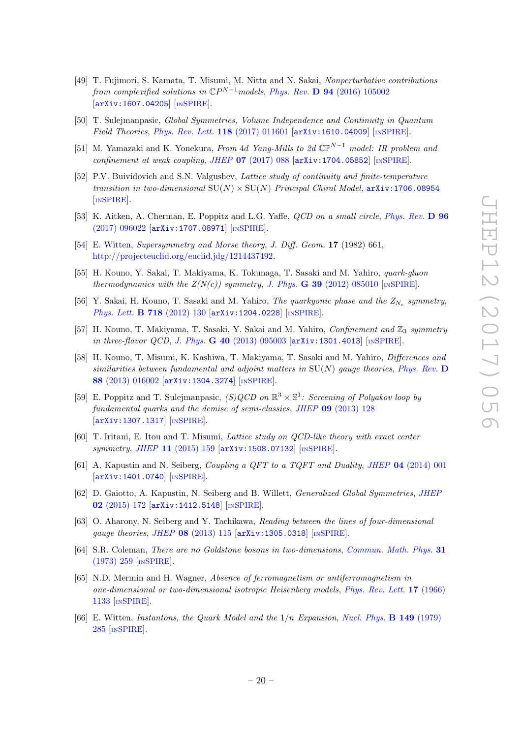- [49] T. Fujimori, S. Kamata, T. Misumi, M. Nitta and N. Sakai, Nonperturbative contributions from complexified solutions in  $\mathbb{C}P^{N-1}$  models, Phys. Rev. D 94 [\(2016\) 105002](https://doi.org/10.1103/PhysRevD.94.105002) [[arXiv:1607.04205](https://arxiv.org/abs/1607.04205)] [IN[SPIRE](https://inspirehep.net/search?p=find+EPRINT+arXiv:1607.04205)].
- <span id="page-20-1"></span>[50] T. Sulejmanpasic, Global Symmetries, Volume Independence and Continuity in Quantum Field Theories, [Phys. Rev. Lett.](https://doi.org/10.1103/PhysRevLett.118.011601) 118 (2017) 011601 [[arXiv:1610.04009](https://arxiv.org/abs/1610.04009)] [IN[SPIRE](https://inspirehep.net/search?p=find+EPRINT+arXiv:1610.04009)].
- [51] M. Yamazaki and K. Yonekura, From 4d Yang-Mills to 2d  $\mathbb{CP}^{N-1}$  model: IR problem and confinement at weak coupling, JHEP  $07$  [\(2017\) 088](https://doi.org/10.1007/JHEP07(2017)088) [[arXiv:1704.05852](https://arxiv.org/abs/1704.05852)] [IN[SPIRE](https://inspirehep.net/search?p=find+EPRINT+arXiv:1704.05852)].
- [52] P.V. Buividovich and S.N. Valgushev, *Lattice study of continuity and finite-temperature* transition in two-dimensional  $SU(N) \times SU(N)$  Principal Chiral Model,  $arXiv:1706.08954$ [IN[SPIRE](https://inspirehep.net/search?p=find+EPRINT+arXiv:1706.08954)].
- <span id="page-20-0"></span>[53] K. Aitken, A. Cherman, E. Poppitz and L.G. Yaffe, *QCD on a small circle, [Phys. Rev.](https://doi.org/10.1103/PhysRevD.96.096022)* D 96 [\(2017\) 096022](https://doi.org/10.1103/PhysRevD.96.096022) [[arXiv:1707.08971](https://arxiv.org/abs/1707.08971)] [IN[SPIRE](https://inspirehep.net/search?p=find+EPRINT+arXiv:1707.08971)].
- <span id="page-20-2"></span>[54] E. Witten, Supersymmetry and Morse theory, J. Diff. Geom. 17 (1982) 661, [http://projecteuclid.org/euclid.jdg/1214437492.](http://projecteuclid.org/euclid.jdg/1214437492)
- <span id="page-20-3"></span>[55] H. Kouno, Y. Sakai, T. Makiyama, K. Tokunaga, T. Sasaki and M. Yahiro, quark-gluon thermodynamics with the  $Z(N(c))$  symmetry, J. Phys. **G 39** [\(2012\) 085010](https://doi.org/10.1088/0954-3899/39/8/085010) [IN[SPIRE](https://inspirehep.net/search?p=find+J+%22J.Phys.,G39,085010%22)].
- [56] Y. Sakai, H. Kouno, T. Sasaki and M. Yahiro, *The quarkyonic phase and the*  $Z_{N_c}$  symmetry, [Phys. Lett.](https://doi.org/10.1016/j.physletb.2012.10.027) **B 718** (2012) 130 [[arXiv:1204.0228](https://arxiv.org/abs/1204.0228)] [IN[SPIRE](https://inspirehep.net/search?p=find+EPRINT+arXiv:1204.0228)].
- [57] H. Kouno, T. Makiyama, T. Sasaki, Y. Sakai and M. Yahiro, *Confinement and*  $\mathbb{Z}_3$  symmetry in three-flavor QCD, J. Phys. **G** 40 [\(2013\) 095003](https://doi.org/10.1088/0954-3899/40/9/095003)  $\left[$ [arXiv:1301.4013](https://arxiv.org/abs/1301.4013) $\right]$   $\left[$ IN[SPIRE](https://inspirehep.net/search?p=find+EPRINT+arXiv:1301.4013).
- <span id="page-20-11"></span>[58] H. Kouno, T. Misumi, K. Kashiwa, T. Makiyama, T. Sasaki and M. Yahiro, Differences and similarities between fundamental and adjoint matters in  $SU(N)$  gauge theories, [Phys. Rev.](https://doi.org/10.1103/PhysRevD.88.016002) D 88 [\(2013\) 016002](https://doi.org/10.1103/PhysRevD.88.016002) [[arXiv:1304.3274](https://arxiv.org/abs/1304.3274)] [IN[SPIRE](https://inspirehep.net/search?p=find+EPRINT+arXiv:1304.3274)].
- <span id="page-20-12"></span>[59] E. Poppitz and T. Sulejmanpasic,  $(S) QCD$  on  $\mathbb{R}^3 \times \mathbb{S}^1$ : Screening of Polyakov loop by fundamental quarks and the demise of semi-classics, JHEP 09 [\(2013\) 128](https://doi.org/10.1007/JHEP09(2013)128) [[arXiv:1307.1317](https://arxiv.org/abs/1307.1317)] [IN[SPIRE](https://inspirehep.net/search?p=find+EPRINT+arXiv:1307.1317)].
- <span id="page-20-4"></span>[60] T. Iritani, E. Itou and T. Misumi, Lattice study on QCD-like theory with exact center symmetry, JHEP 11 [\(2015\) 159](https://doi.org/10.1007/JHEP11(2015)159) [[arXiv:1508.07132](https://arxiv.org/abs/1508.07132)] [IN[SPIRE](https://inspirehep.net/search?p=find+EPRINT+arXiv:1508.07132)].
- <span id="page-20-5"></span>[61] A. Kapustin and N. Seiberg, Coupling a QFT to a TQFT and Duality, JHEP 04 [\(2014\) 001](https://doi.org/10.1007/JHEP04(2014)001) [[arXiv:1401.0740](https://arxiv.org/abs/1401.0740)] [IN[SPIRE](https://inspirehep.net/search?p=find+EPRINT+arXiv:1401.0740)].
- <span id="page-20-7"></span>[62] D. Gaiotto, A. Kapustin, N. Seiberg and B. Willett, Generalized Global Symmetries, [JHEP](https://doi.org/10.1007/JHEP02(2015)172) 02 [\(2015\) 172](https://doi.org/10.1007/JHEP02(2015)172) [[arXiv:1412.5148](https://arxiv.org/abs/1412.5148)] [IN[SPIRE](https://inspirehep.net/search?p=find+EPRINT+arXiv:1412.5148)].
- <span id="page-20-6"></span>[63] O. Aharony, N. Seiberg and Y. Tachikawa, Reading between the lines of four-dimensional gauge theories, JHEP  $08$  [\(2013\) 115](https://doi.org/10.1007/JHEP08(2013)115)  $\text{arXiv:1305.0318}$  $\text{arXiv:1305.0318}$  $\text{arXiv:1305.0318}$  [IN[SPIRE](https://inspirehep.net/search?p=find+EPRINT+arXiv:1305.0318)].
- <span id="page-20-8"></span>[64] S.R. Coleman, There are no Goldstone bosons in two-dimensions, [Commun. Math. Phys.](https://doi.org/10.1007/BF01646487) 31 [\(1973\) 259](https://doi.org/10.1007/BF01646487) [IN[SPIRE](https://inspirehep.net/search?p=find+J+%22Comm.Math.Phys.,31,259%22)].
- <span id="page-20-9"></span>[65] N.D. Mermin and H. Wagner, Absence of ferromagnetism or antiferromagnetism in one-dimensional or two-dimensional isotropic Heisenberg models, [Phys. Rev. Lett.](https://doi.org/10.1103/PhysRevLett.17.1133) 17 (1966) [1133](https://doi.org/10.1103/PhysRevLett.17.1133) [IN[SPIRE](https://inspirehep.net/search?p=find+J+%22Phys.Rev.Lett.,17,1133%22)].
- <span id="page-20-10"></span>[66] E. Witten, Instantons, the Quark Model and the 1/n Expansion, [Nucl. Phys.](https://doi.org/10.1016/0550-3213(79)90243-8) B 149 (1979) [285](https://doi.org/10.1016/0550-3213(79)90243-8) [IN[SPIRE](https://inspirehep.net/search?p=find+J+%22Nucl.Phys.,B149,285%22)].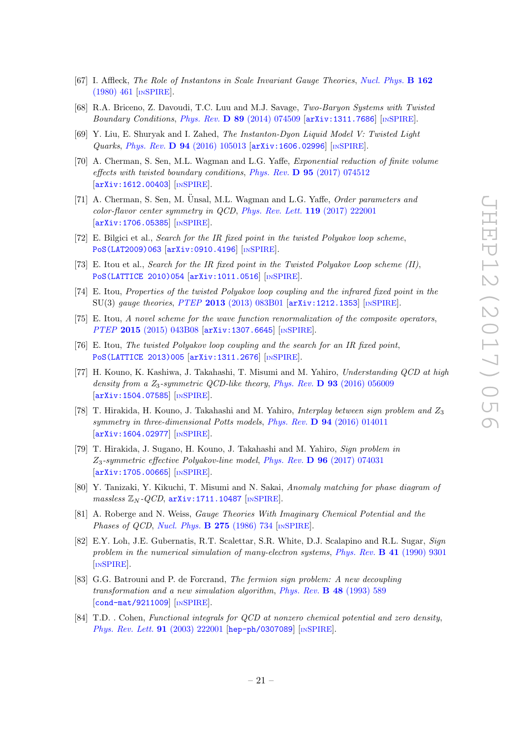- <span id="page-21-0"></span>[67] I. Affleck, The Role of Instantons in Scale Invariant Gauge Theories, [Nucl. Phys.](https://doi.org/10.1016/0550-3213(80)90350-8) B 162 [\(1980\) 461](https://doi.org/10.1016/0550-3213(80)90350-8) [IN[SPIRE](https://inspirehep.net/search?p=find+J+%22Nucl.Phys.,B162,461%22)].
- <span id="page-21-1"></span>[68] R.A. Briceno, Z. Davoudi, T.C. Luu and M.J. Savage, Two-Baryon Systems with Twisted Boundary Conditions, Phys. Rev. D 89 [\(2014\) 074509](https://doi.org/10.1103/PhysRevD.89.074509) [[arXiv:1311.7686](https://arxiv.org/abs/1311.7686)] [IN[SPIRE](https://inspirehep.net/search?p=find+EPRINT+arXiv:1311.7686)].
- [69] Y. Liu, E. Shuryak and I. Zahed, The Instanton-Dyon Liquid Model V: Twisted Light Quarks, Phys. Rev. D 94 [\(2016\) 105013](https://doi.org/10.1103/PhysRevD.94.105013) [[arXiv:1606.02996](https://arxiv.org/abs/1606.02996)] [IN[SPIRE](https://inspirehep.net/search?p=find+EPRINT+arXiv:1606.02996)].
- [70] A. Cherman, S. Sen, M.L. Wagman and L.G. Yaffe, Exponential reduction of finite volume effects with twisted boundary conditions, Phys. Rev. D 95 [\(2017\) 074512](https://doi.org/10.1103/PhysRevD.95.074512) [[arXiv:1612.00403](https://arxiv.org/abs/1612.00403)] [IN[SPIRE](https://inspirehep.net/search?p=find+EPRINT+arXiv:1612.00403)].
- <span id="page-21-2"></span>[71] A. Cherman, S. Sen, M. Unsal, M.L. Wagman and L.G. Yaffe, *Order parameters and* color-flavor center symmetry in QCD, [Phys. Rev. Lett.](https://doi.org/10.1103/PhysRevLett.119.222001) 119 (2017) 222001 [[arXiv:1706.05385](https://arxiv.org/abs/1706.05385)] [IN[SPIRE](https://inspirehep.net/search?p=find+EPRINT+arXiv:1706.05385)].
- <span id="page-21-6"></span>[72] E. Bilgici et al., Search for the IR fixed point in the twisted Polyakov loop scheme, [PoS\(LAT2009\)063](https://pos.sissa.it/contribution?id=PoS(LAT2009)063) [[arXiv:0910.4196](https://arxiv.org/abs/0910.4196)] [IN[SPIRE](https://inspirehep.net/search?p=find+EPRINT+arXiv:0910.4196)].
- [73] E. Itou et al., Search for the IR fixed point in the Twisted Polyakov Loop scheme (II), [PoS\(LATTICE 2010\)054](https://pos.sissa.it/contribution?id=PoS(LATTICE 2010)054) [[arXiv:1011.0516](https://arxiv.org/abs/1011.0516)] [IN[SPIRE](https://inspirehep.net/search?p=find+EPRINT+arXiv:1011.0516)].
- [74] E. Itou, Properties of the twisted Polyakov loop coupling and the infrared fixed point in the SU(3) gauge theories, PTEP 2013 [\(2013\) 083B01](https://doi.org/10.1093/ptep/ptt053) [[arXiv:1212.1353](https://arxiv.org/abs/1212.1353)] [IN[SPIRE](https://inspirehep.net/search?p=find+EPRINT+arXiv:1212.1353)].
- [75] E. Itou, A novel scheme for the wave function renormalization of the composite operators, PTEP 2015 [\(2015\) 043B08](https://doi.org/10.1093/ptep/ptv045) [[arXiv:1307.6645](https://arxiv.org/abs/1307.6645)] [IN[SPIRE](https://inspirehep.net/search?p=find+EPRINT+arXiv:1307.6645)].
- <span id="page-21-7"></span>[76] E. Itou, The twisted Polyakov loop coupling and the search for an IR fixed point, [PoS\(LATTICE 2013\)005](https://pos.sissa.it/contribution?id=PoS(LATTICE 2013)005) [[arXiv:1311.2676](https://arxiv.org/abs/1311.2676)] [IN[SPIRE](https://inspirehep.net/search?p=find+EPRINT+arXiv:1311.2676)].
- <span id="page-21-3"></span>[77] H. Kouno, K. Kashiwa, J. Takahashi, T. Misumi and M. Yahiro, Understanding QCD at high density from a  $Z_3$ -symmetric QCD-like theory, Phys. Rev. **D** 93 [\(2016\) 056009](https://doi.org/10.1103/PhysRevD.93.056009) [[arXiv:1504.07585](https://arxiv.org/abs/1504.07585)] [IN[SPIRE](https://inspirehep.net/search?p=find+EPRINT+arXiv:1504.07585)].
- [78] T. Hirakida, H. Kouno, J. Takahashi and M. Yahiro, Interplay between sign problem and  $Z_3$ symmetry in three-dimensional Potts models, Phys. Rev. D 94 [\(2016\) 014011](https://doi.org/10.1103/PhysRevD.94.014011) [[arXiv:1604.02977](https://arxiv.org/abs/1604.02977)] [IN[SPIRE](https://inspirehep.net/search?p=find+EPRINT+arXiv:1604.02977)].
- <span id="page-21-4"></span>[79] T. Hirakida, J. Sugano, H. Kouno, J. Takahashi and M. Yahiro, Sign problem in  $Z_3$ -symmetric effective Polyakov-line model, Phys. Rev. **D** 96 [\(2017\) 074031](https://doi.org/10.1103/PhysRevD.96.074031) [[arXiv:1705.00665](https://arxiv.org/abs/1705.00665)] [IN[SPIRE](https://inspirehep.net/search?p=find+EPRINT+arXiv:1705.00665)].
- <span id="page-21-5"></span>[80] Y. Tanizaki, Y. Kikuchi, T. Misumi and N. Sakai, Anomaly matching for phase diagram of  $massless \mathbb{Z}_N$ -QCD,  $arXiv:1711.10487$  [IN[SPIRE](https://inspirehep.net/search?p=find+EPRINT+arXiv:1711.10487)].
- <span id="page-21-8"></span>[81] A. Roberge and N. Weiss, Gauge Theories With Imaginary Chemical Potential and the Phases of QCD, [Nucl. Phys.](https://doi.org/10.1016/0550-3213(86)90582-1) **B 275** (1986) 734 [IN[SPIRE](https://inspirehep.net/search?p=find+J+%22Nucl.Phys.,B275,734%22)].
- <span id="page-21-9"></span>[82] E.Y. Loh, J.E. Gubernatis, R.T. Scalettar, S.R. White, D.J. Scalapino and R.L. Sugar, Sign problem in the numerical simulation of many-electron systems, Phys. Rev. **B** 41 [\(1990\) 9301](https://doi.org/10.1103/PhysRevB.41.9301) [IN[SPIRE](https://inspirehep.net/search?p=find+J+%22Phys.Rev.,B41,9301%22)].
- [83] G.G. Batrouni and P. de Forcrand, The fermion sign problem: A new decoupling transformation and a new simulation algorithm, [Phys. Rev.](https://doi.org/10.1103/PhysRevB.48.589) B 48 (1993) 589 [[cond-mat/9211009](https://arxiv.org/abs/cond-mat/9211009)] [IN[SPIRE](https://inspirehep.net/search?p=find+EPRINT+cond-mat/9211009)].
- [84] T.D. . Cohen, Functional integrals for QCD at nonzero chemical potential and zero density, [Phys. Rev. Lett.](https://doi.org/10.1103/PhysRevLett.91.222001) **91** (2003) 222001 [[hep-ph/0307089](https://arxiv.org/abs/hep-ph/0307089)] [IN[SPIRE](https://inspirehep.net/search?p=find+EPRINT+hep-ph/0307089)].